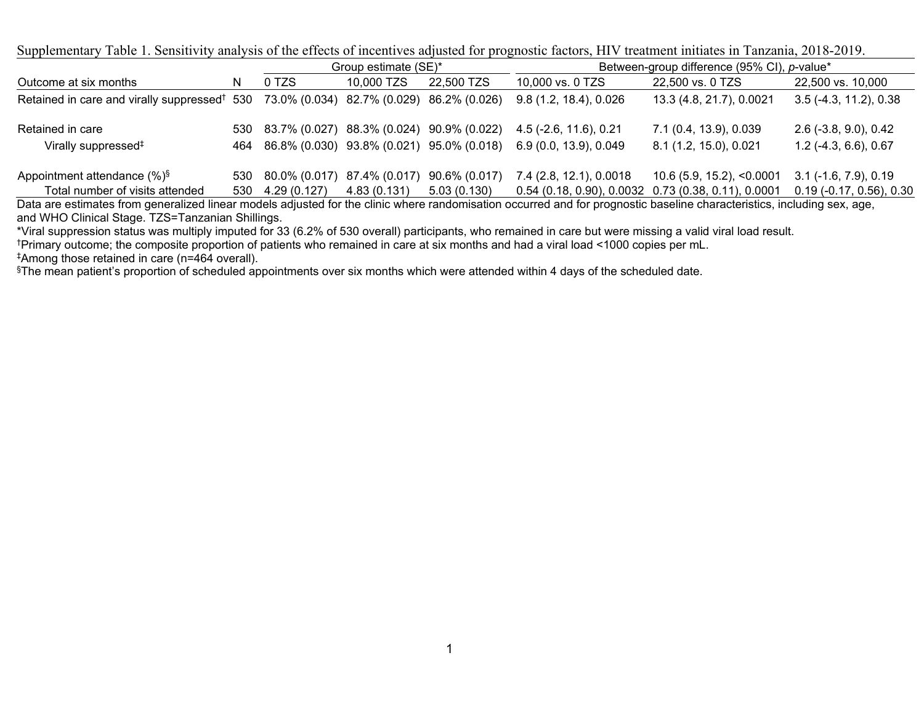Supplementary Table 1. Sensitivity analysis of the effects of incentives adjusted for prognostic factors, HIV treatment initiates in Tanzania, 2018-2019.

|                                                                                                    |     |                                               | Group estimate (SE)* |               | Between-group difference (95% CI), p-value* |                                                       |                            |  |  |  |  |  |  |
|----------------------------------------------------------------------------------------------------|-----|-----------------------------------------------|----------------------|---------------|---------------------------------------------|-------------------------------------------------------|----------------------------|--|--|--|--|--|--|
| Outcome at six months                                                                              | N   | 0 TZS                                         | 10,000 TZS           | 22,500 TZS    | 10,000 vs. 0 TZS                            | 22,500 vs. 0 TZS                                      | 22,500 vs. 10,000          |  |  |  |  |  |  |
| Retained in care and virally suppressed <sup>†</sup> 530 73.0% (0.034) 82.7% (0.029) 86.2% (0.026) |     |                                               |                      |               | 9.8(1.2, 18.4), 0.026                       | 13.3 (4.8, 21.7), 0.0021                              | $3.5$ (-4.3, 11.2), 0.38   |  |  |  |  |  |  |
| Retained in care                                                                                   |     | 530 83.7% (0.027) 88.3% (0.024) 90.9% (0.022) |                      |               | $4.5$ (-2.6, 11.6), 0.21                    | 7.1 (0.4, 13.9), 0.039                                | $2.6$ (-3.8, 9.0), 0.42    |  |  |  |  |  |  |
| Virally suppressed <sup>‡</sup>                                                                    |     | 464 86.8% (0.030) 93.8% (0.021) 95.0% (0.018) |                      |               | 6.9 (0.0, 13.9), 0.049                      | 8.1 (1.2, 15.0), 0.021                                | $1.2$ (-4.3, 6.6), 0.67    |  |  |  |  |  |  |
| Appointment attendance $(\%)^{\S}$                                                                 |     | 530 80.0% (0.017) 87.4% (0.017)               |                      | 90.6% (0.017) | 7.4 (2.8, 12.1), 0.0018                     | 10.6 (5.9, 15.2), <0.0001                             | $3.1$ (-1.6, 7.9), 0.19    |  |  |  |  |  |  |
| Total number of visits attended                                                                    | 530 | 4.29 (0.127)                                  | 4.83 (0.131)         | 5.03(0.130)   |                                             | $0.54$ (0.18, 0.90), 0.0032 0.73 (0.38, 0.11), 0.0001 | $0.19$ (-0.17, 0.56), 0.30 |  |  |  |  |  |  |

Data are estimates from generalized linear models adjusted for the clinic where randomisation occurred and for prognostic baseline characteristics, including sex, age, and WHO Clinical Stage. TZS=Tanzanian Shillings.

\*Viral suppression status was multiply imputed for 33 (6.2% of 530 overall) participants, who remained in care but were missing a valid viral load result.

†Primary outcome; the composite proportion of patients who remained in care at six months and had a viral load <1000 copies per mL.

<sup>§</sup>The mean patient's proportion of scheduled appointments over six months which were attended within 4 days of the scheduled date.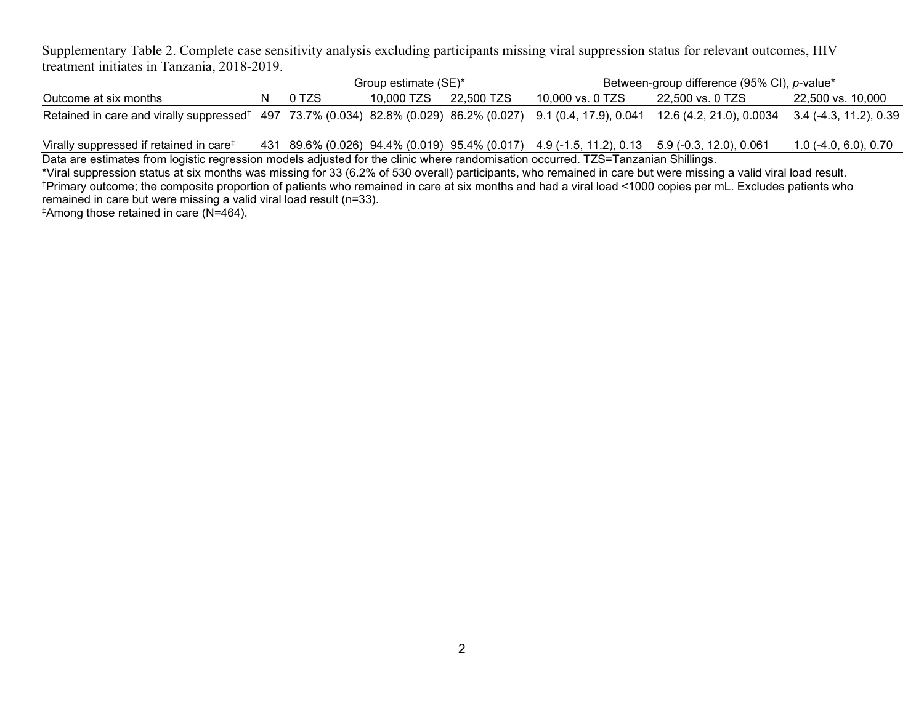Supplementary Table 2. Complete case sensitivity analysis excluding participants missing viral suppression status for relevant outcomes, HIV treatment initiates in Tanzania, 2018-2019.

|                                                                                                                                                                           |  |       | Group estimate (SE)*  | Between-group difference (95% CI), p-value* |                  |                   |  |  |  |  |  |
|---------------------------------------------------------------------------------------------------------------------------------------------------------------------------|--|-------|-----------------------|---------------------------------------------|------------------|-------------------|--|--|--|--|--|
| Outcome at six months                                                                                                                                                     |  | 0 TZS | 10,000 TZS 22,500 TZS | 10,000 vs. 0 TZS                            | 22.500 vs. 0 TZS | 22,500 vs. 10,000 |  |  |  |  |  |
| Retained in care and virally suppressed <sup>†</sup> 497 73.7% (0.034) 82.8% (0.029) 86.2% (0.027) 9.1 (0.4, 17.9), 0.041 12.6 (4.2, 21.0), 0.0034 3.4 (-4.3, 11.2), 0.39 |  |       |                       |                                             |                  |                   |  |  |  |  |  |

Virally suppressed if retained in care‡ 431 89.6% (0.026) 94.4% (0.019) 95.4% (0.017) 4.9 (-1.5, 11.2), 0.13 5.9 (-0.3, 12.0), 0.061 1.0 (-4.0, 6.0), 0.70 Data are estimates from logistic regression models adjusted for the clinic where randomisation occurred. TZS=Tanzanian Shillings.

\*Viral suppression status at six months was missing for 33 (6.2% of 530 overall) participants, who remained in care but were missing a valid viral load result. †Primary outcome; the composite proportion of patients who remained in care at six months and had a viral load <1000 copies per mL. Excludes patients who remained in care but were missing a valid viral load result (n=33).

‡Among those retained in care (N=464).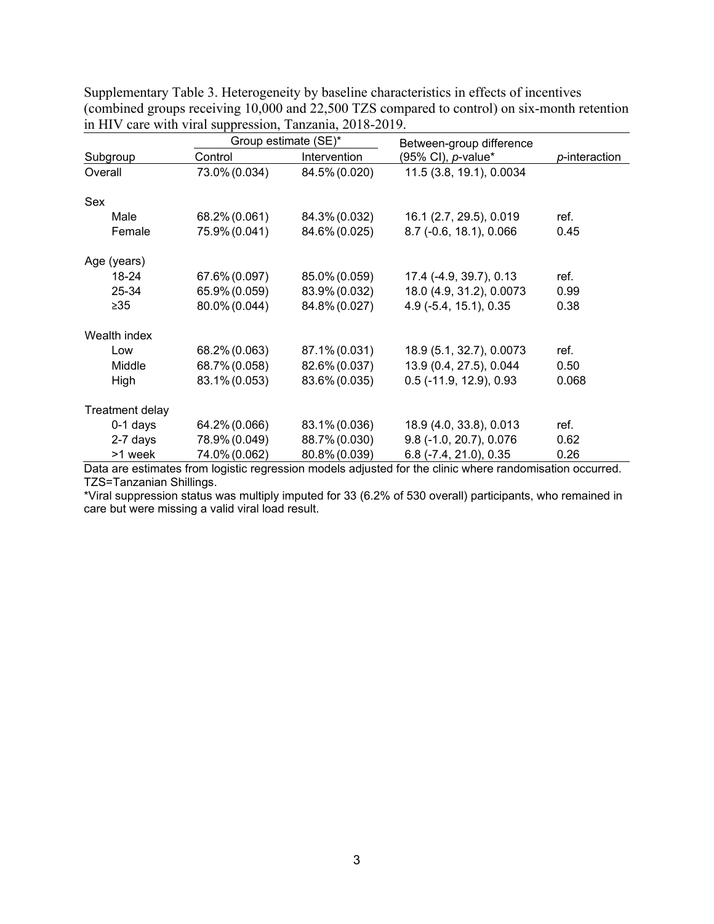|                 |               | Group estimate (SE)* | Between-group difference   |               |  |  |  |
|-----------------|---------------|----------------------|----------------------------|---------------|--|--|--|
| Subgroup        | Control       | Intervention         | (95% CI), <i>p</i> -value* | p-interaction |  |  |  |
| Overall         | 73.0% (0.034) | 84.5% (0.020)        | 11.5 (3.8, 19.1), 0.0034   |               |  |  |  |
| Sex             |               |                      |                            |               |  |  |  |
| Male            | 68.2% (0.061) | 84.3% (0.032)        | 16.1 (2.7, 29.5), 0.019    | ref.          |  |  |  |
| Female          | 75.9% (0.041) | 84.6% (0.025)        | 8.7 (-0.6, 18.1), 0.066    | 0.45          |  |  |  |
| Age (years)     |               |                      |                            |               |  |  |  |
| 18-24           | 67.6% (0.097) | 85.0% (0.059)        | 17.4 (-4.9, 39.7), 0.13    | ref.          |  |  |  |
| 25-34           | 65.9% (0.059) | 83.9% (0.032)        | 18.0 (4.9, 31.2), 0.0073   | 0.99          |  |  |  |
| $\geq 35$       | 80.0% (0.044) | 84.8% (0.027)        | 4.9 (-5.4, 15.1), 0.35     | 0.38          |  |  |  |
| Wealth index    |               |                      |                            |               |  |  |  |
| Low             | 68.2% (0.063) | 87.1% (0.031)        | 18.9 (5.1, 32.7), 0.0073   | ref.          |  |  |  |
| Middle          | 68.7% (0.058) | 82.6% (0.037)        | 13.9 (0.4, 27.5), 0.044    | 0.50          |  |  |  |
| High            | 83.1% (0.053) | 83.6% (0.035)        | $0.5$ (-11.9, 12.9), 0.93  | 0.068         |  |  |  |
| Treatment delay |               |                      |                            |               |  |  |  |
| $0-1$ days      | 64.2% (0.066) | 83.1% (0.036)        | 18.9 (4.0, 33.8), 0.013    | ref.          |  |  |  |
| 2-7 days        | 78.9% (0.049) | 88.7% (0.030)        | 9.8 (-1.0, 20.7), 0.076    | 0.62          |  |  |  |
| >1 week         | 74.0% (0.062) | 80.8% (0.039)        | $6.8$ (-7.4, 21.0), 0.35   | 0.26          |  |  |  |

Supplementary Table 3. Heterogeneity by baseline characteristics in effects of incentives (combined groups receiving 10,000 and 22,500 TZS compared to control) on six-month retention in HIV care with viral suppression, Tanzania, 2018-2019.

Data are estimates from logistic regression models adjusted for the clinic where randomisation occurred. TZS=Tanzanian Shillings.

\*Viral suppression status was multiply imputed for 33 (6.2% of 530 overall) participants, who remained in care but were missing a valid viral load result.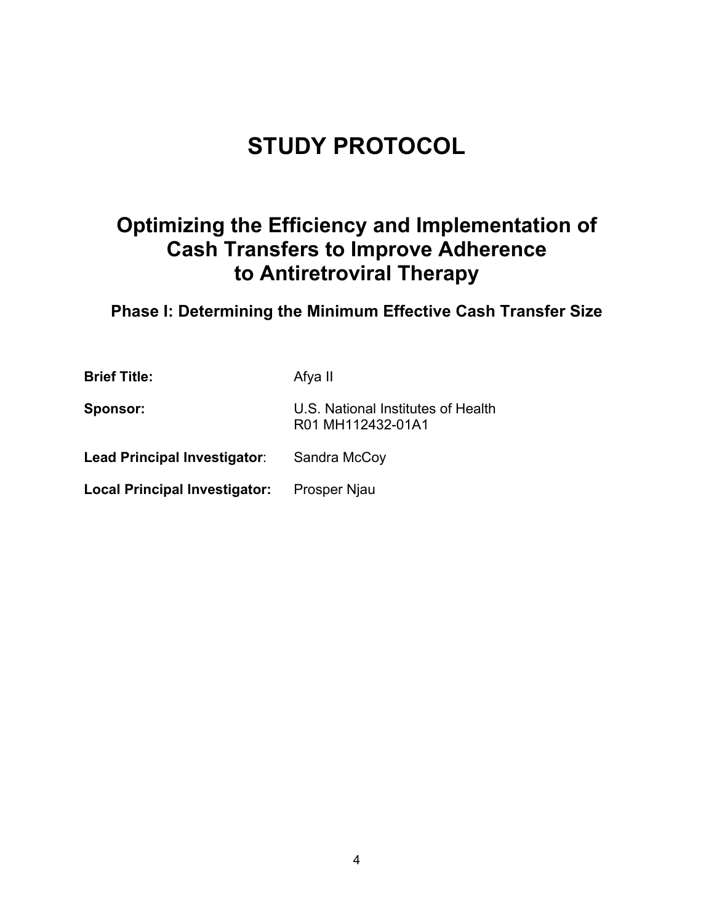# **STUDY PROTOCOL**

# **Optimizing the Efficiency and Implementation of Cash Transfers to Improve Adherence to Antiretroviral Therapy**

**Phase I: Determining the Minimum Effective Cash Transfer Size**

| <b>Brief Title:</b>           | Afya II                                                 |
|-------------------------------|---------------------------------------------------------|
| Sponsor:                      | U.S. National Institutes of Health<br>R01 MH112432-01A1 |
| Lead Principal Investigatorː  | Sandra McCoy                                            |
| Local Principal Investigator: | Prosper Njau                                            |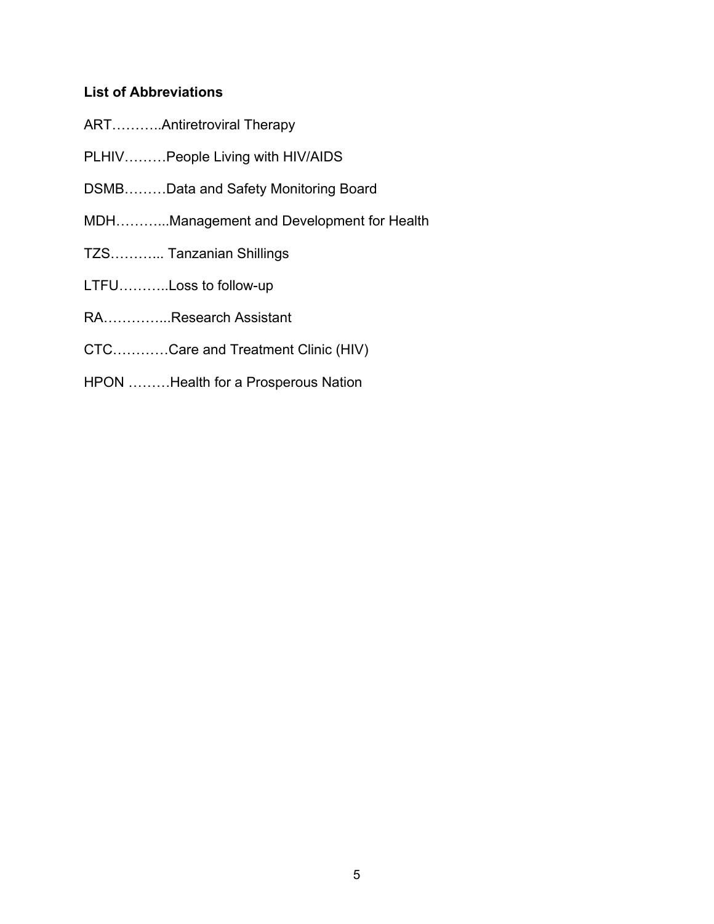# **List of Abbreviations**

- ART………..Antiretroviral Therapy
- PLHIV………People Living with HIV/AIDS
- DSMB………Data and Safety Monitoring Board
- MDH………...Management and Development for Health
- TZS………... Tanzanian Shillings
- LTFU………..Loss to follow-up
- RA…………...Research Assistant
- CTC…………Care and Treatment Clinic (HIV)
- HPON ………Health for a Prosperous Nation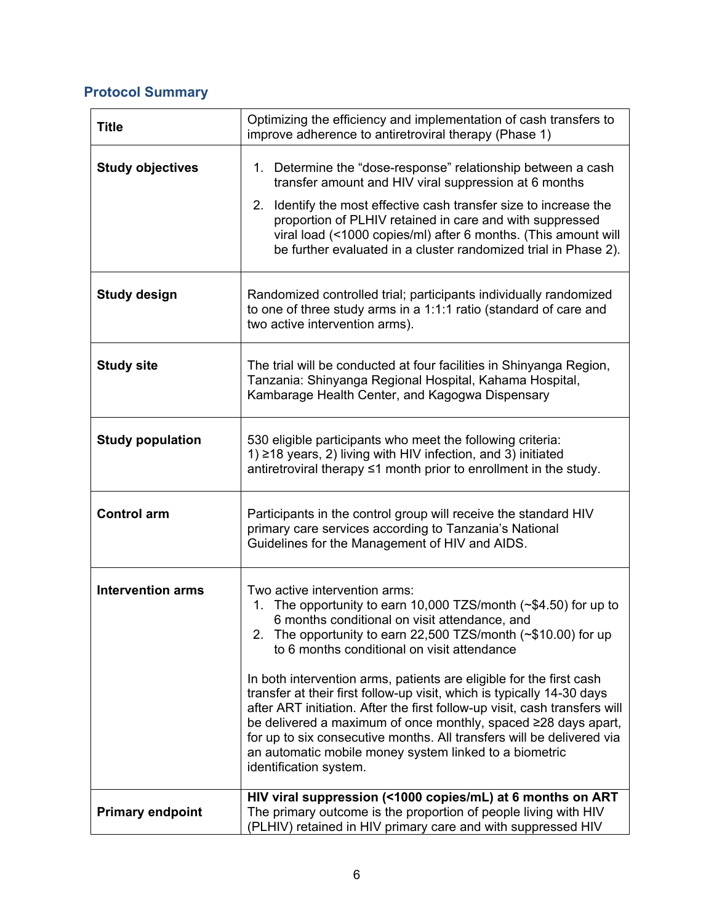# **Protocol Summary**

| <b>Title</b>             | Optimizing the efficiency and implementation of cash transfers to<br>improve adherence to antiretroviral therapy (Phase 1)                                                                                                                                                                                                                                                                                                                                                                                                                                                                                                                                                                                                                |
|--------------------------|-------------------------------------------------------------------------------------------------------------------------------------------------------------------------------------------------------------------------------------------------------------------------------------------------------------------------------------------------------------------------------------------------------------------------------------------------------------------------------------------------------------------------------------------------------------------------------------------------------------------------------------------------------------------------------------------------------------------------------------------|
| <b>Study objectives</b>  | 1. Determine the "dose-response" relationship between a cash<br>transfer amount and HIV viral suppression at 6 months<br>2. Identify the most effective cash transfer size to increase the<br>proportion of PLHIV retained in care and with suppressed<br>viral load (<1000 copies/ml) after 6 months. (This amount will<br>be further evaluated in a cluster randomized trial in Phase 2).                                                                                                                                                                                                                                                                                                                                               |
| <b>Study design</b>      | Randomized controlled trial; participants individually randomized<br>to one of three study arms in a 1:1:1 ratio (standard of care and<br>two active intervention arms).                                                                                                                                                                                                                                                                                                                                                                                                                                                                                                                                                                  |
| <b>Study site</b>        | The trial will be conducted at four facilities in Shinyanga Region,<br>Tanzania: Shinyanga Regional Hospital, Kahama Hospital,<br>Kambarage Health Center, and Kagogwa Dispensary                                                                                                                                                                                                                                                                                                                                                                                                                                                                                                                                                         |
| <b>Study population</b>  | 530 eligible participants who meet the following criteria:<br>1) ≥18 years, 2) living with HIV infection, and 3) initiated<br>antiretroviral therapy ≤1 month prior to enrollment in the study.                                                                                                                                                                                                                                                                                                                                                                                                                                                                                                                                           |
| <b>Control arm</b>       | Participants in the control group will receive the standard HIV<br>primary care services according to Tanzania's National<br>Guidelines for the Management of HIV and AIDS.                                                                                                                                                                                                                                                                                                                                                                                                                                                                                                                                                               |
| <b>Intervention arms</b> | Two active intervention arms:<br>The opportunity to earn 10,000 TZS/month ( $\sim$ \$4.50) for up to<br>1.<br>6 months conditional on visit attendance, and<br>2. The opportunity to earn 22,500 TZS/month (~\$10.00) for up<br>to 6 months conditional on visit attendance<br>In both intervention arms, patients are eligible for the first cash<br>transfer at their first follow-up visit, which is typically 14-30 days<br>after ART initiation. After the first follow-up visit, cash transfers will<br>be delivered a maximum of once monthly, spaced ≥28 days apart,<br>for up to six consecutive months. All transfers will be delivered via<br>an automatic mobile money system linked to a biometric<br>identification system. |
| <b>Primary endpoint</b>  | HIV viral suppression (<1000 copies/mL) at 6 months on ART<br>The primary outcome is the proportion of people living with HIV<br>(PLHIV) retained in HIV primary care and with suppressed HIV                                                                                                                                                                                                                                                                                                                                                                                                                                                                                                                                             |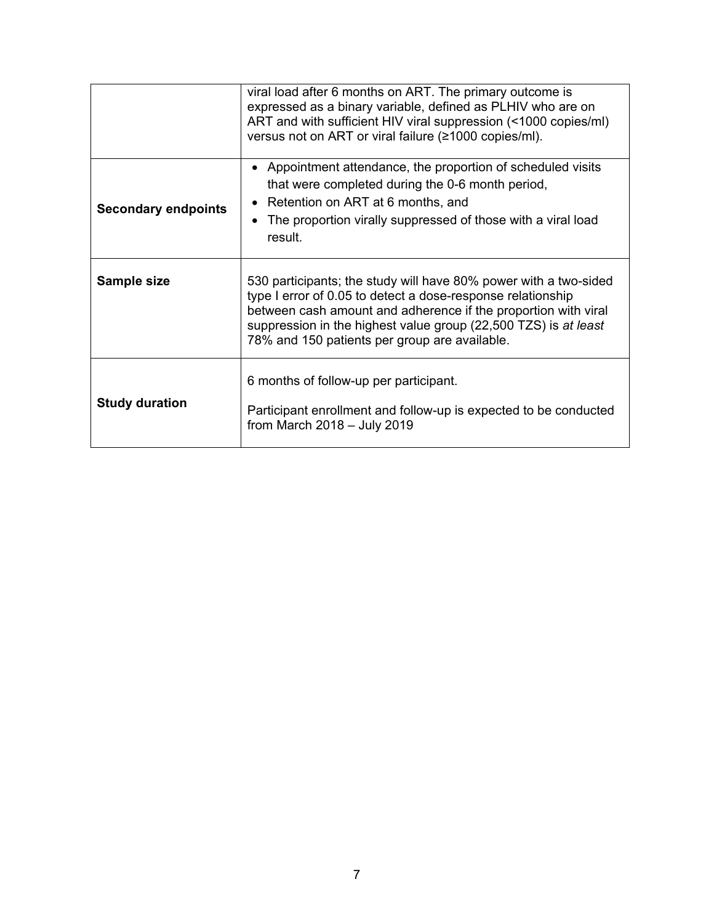|                            | viral load after 6 months on ART. The primary outcome is<br>expressed as a binary variable, defined as PLHIV who are on<br>ART and with sufficient HIV viral suppression (<1000 copies/ml)<br>versus not on ART or viral failure (≥1000 copies/ml).                                                                   |
|----------------------------|-----------------------------------------------------------------------------------------------------------------------------------------------------------------------------------------------------------------------------------------------------------------------------------------------------------------------|
| <b>Secondary endpoints</b> | • Appointment attendance, the proportion of scheduled visits<br>that were completed during the 0-6 month period,<br>• Retention on ART at 6 months, and<br>• The proportion virally suppressed of those with a viral load<br>result.                                                                                  |
| Sample size                | 530 participants; the study will have 80% power with a two-sided<br>type I error of 0.05 to detect a dose-response relationship<br>between cash amount and adherence if the proportion with viral<br>suppression in the highest value group (22,500 TZS) is at least<br>78% and 150 patients per group are available. |
| <b>Study duration</b>      | 6 months of follow-up per participant.<br>Participant enrollment and follow-up is expected to be conducted<br>from March $2018 -$ July 2019                                                                                                                                                                           |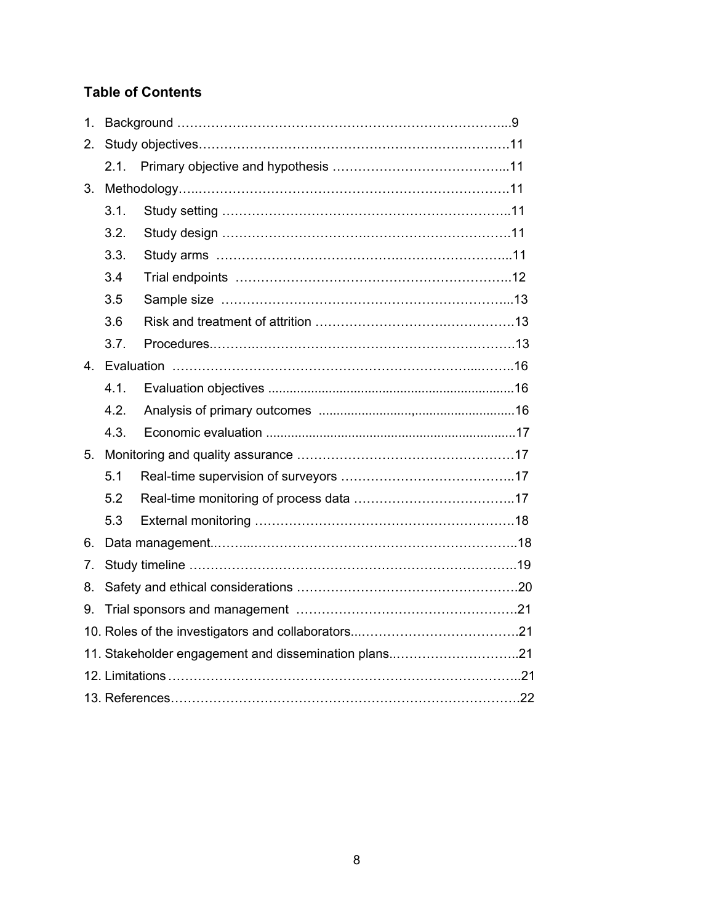# **Table of Contents**

| 1.          |      |                                                      |  |
|-------------|------|------------------------------------------------------|--|
| 2.          |      |                                                      |  |
|             | 2.1. |                                                      |  |
| 3.          |      |                                                      |  |
|             | 3.1. |                                                      |  |
|             | 3.2. |                                                      |  |
|             | 3.3. |                                                      |  |
|             | 3.4  |                                                      |  |
|             | 3.5  |                                                      |  |
|             | 3.6  |                                                      |  |
|             | 3.7. |                                                      |  |
| $4_{\cdot}$ |      |                                                      |  |
|             | 4.1. |                                                      |  |
|             | 4.2. |                                                      |  |
|             | 4.3. |                                                      |  |
| 5.          |      |                                                      |  |
|             | 5.1  |                                                      |  |
|             | 5.2  |                                                      |  |
|             | 5.3  |                                                      |  |
| 6.          |      |                                                      |  |
| 7.          |      |                                                      |  |
| 8.          |      |                                                      |  |
| 9.          |      |                                                      |  |
|             |      |                                                      |  |
|             |      | 11. Stakeholder engagement and dissemination plans21 |  |
|             |      |                                                      |  |
|             |      |                                                      |  |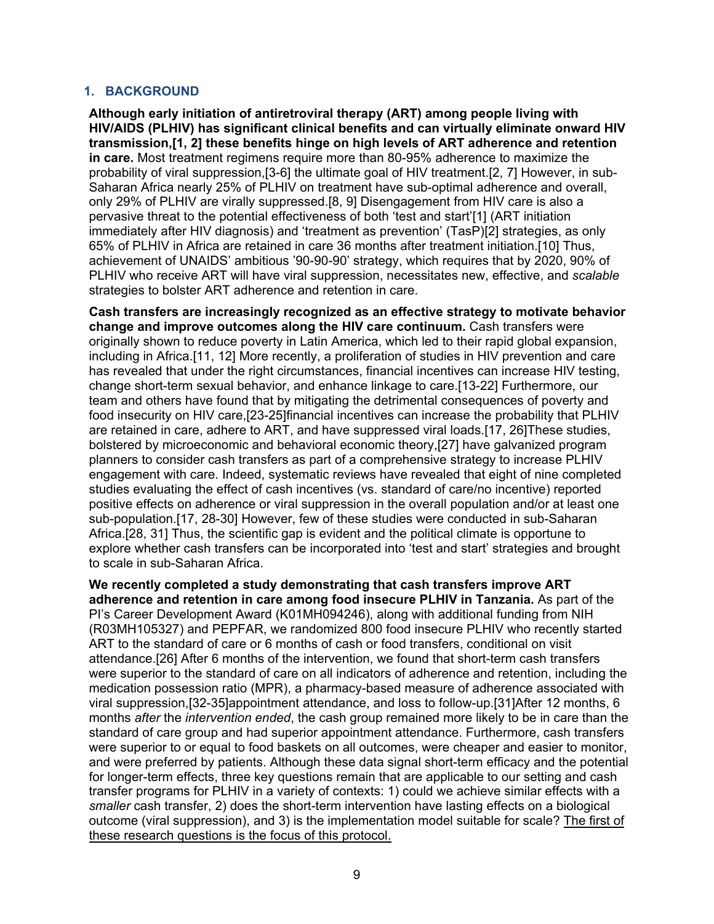#### **1. BACKGROUND**

**Although early initiation of antiretroviral therapy (ART) among people living with HIV/AIDS (PLHIV) has significant clinical benefits and can virtually eliminate onward HIV transmission,[1, 2] these benefits hinge on high levels of ART adherence and retention in care.** Most treatment regimens require more than 80-95% adherence to maximize the probability of viral suppression,[3-6] the ultimate goal of HIV treatment.[2, 7] However, in sub-Saharan Africa nearly 25% of PLHIV on treatment have sub-optimal adherence and overall, only 29% of PLHIV are virally suppressed.[8, 9] Disengagement from HIV care is also a pervasive threat to the potential effectiveness of both 'test and start'[1] (ART initiation immediately after HIV diagnosis) and 'treatment as prevention' (TasP)[2] strategies, as only 65% of PLHIV in Africa are retained in care 36 months after treatment initiation.[10] Thus, achievement of UNAIDS' ambitious '90-90-90' strategy, which requires that by 2020, 90% of PLHIV who receive ART will have viral suppression, necessitates new, effective, and *scalable* strategies to bolster ART adherence and retention in care.

**Cash transfers are increasingly recognized as an effective strategy to motivate behavior change and improve outcomes along the HIV care continuum.** Cash transfers were originally shown to reduce poverty in Latin America, which led to their rapid global expansion, including in Africa.[11, 12] More recently, a proliferation of studies in HIV prevention and care has revealed that under the right circumstances, financial incentives can increase HIV testing, change short-term sexual behavior, and enhance linkage to care.[13-22] Furthermore, our team and others have found that by mitigating the detrimental consequences of poverty and food insecurity on HIV care,[23-25]financial incentives can increase the probability that PLHIV are retained in care, adhere to ART, and have suppressed viral loads.[17, 26]These studies, bolstered by microeconomic and behavioral economic theory,[27] have galvanized program planners to consider cash transfers as part of a comprehensive strategy to increase PLHIV engagement with care. Indeed, systematic reviews have revealed that eight of nine completed studies evaluating the effect of cash incentives (vs. standard of care/no incentive) reported positive effects on adherence or viral suppression in the overall population and/or at least one sub-population.[17, 28-30] However, few of these studies were conducted in sub-Saharan Africa.[28, 31] Thus, the scientific gap is evident and the political climate is opportune to explore whether cash transfers can be incorporated into 'test and start' strategies and brought to scale in sub-Saharan Africa.

**We recently completed a study demonstrating that cash transfers improve ART adherence and retention in care among food insecure PLHIV in Tanzania.** As part of the PI's Career Development Award (K01MH094246), along with additional funding from NIH (R03MH105327) and PEPFAR, we randomized 800 food insecure PLHIV who recently started ART to the standard of care or 6 months of cash or food transfers, conditional on visit attendance.[26] After 6 months of the intervention, we found that short-term cash transfers were superior to the standard of care on all indicators of adherence and retention, including the medication possession ratio (MPR), a pharmacy-based measure of adherence associated with viral suppression,[32-35]appointment attendance, and loss to follow-up.[31]After 12 months, 6 months *after* the *intervention ended*, the cash group remained more likely to be in care than the standard of care group and had superior appointment attendance. Furthermore, cash transfers were superior to or equal to food baskets on all outcomes, were cheaper and easier to monitor, and were preferred by patients. Although these data signal short-term efficacy and the potential for longer-term effects, three key questions remain that are applicable to our setting and cash transfer programs for PLHIV in a variety of contexts: 1) could we achieve similar effects with a *smaller* cash transfer, 2) does the short-term intervention have lasting effects on a biological outcome (viral suppression), and 3) is the implementation model suitable for scale? The first of these research questions is the focus of this protocol.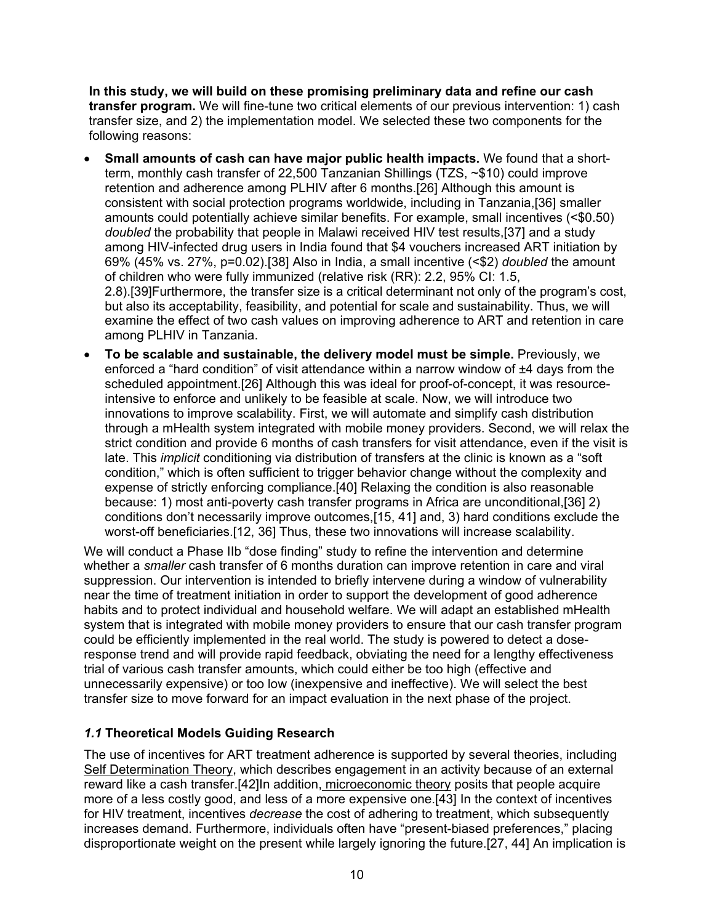**In this study, we will build on these promising preliminary data and refine our cash transfer program.** We will fine-tune two critical elements of our previous intervention: 1) cash transfer size, and 2) the implementation model. We selected these two components for the following reasons:

- **Small amounts of cash can have major public health impacts.** We found that a shortterm, monthly cash transfer of 22,500 Tanzanian Shillings (TZS, ~\$10) could improve retention and adherence among PLHIV after 6 months.[26] Although this amount is consistent with social protection programs worldwide, including in Tanzania,[36] smaller amounts could potentially achieve similar benefits. For example, small incentives (<\$0.50) *doubled* the probability that people in Malawi received HIV test results,[37] and a study among HIV-infected drug users in India found that \$4 vouchers increased ART initiation by 69% (45% vs. 27%, p=0.02).[38] Also in India, a small incentive (<\$2) *doubled* the amount of children who were fully immunized (relative risk (RR): 2.2, 95% CI: 1.5, 2.8).[39]Furthermore, the transfer size is a critical determinant not only of the program's cost, but also its acceptability, feasibility, and potential for scale and sustainability. Thus, we will examine the effect of two cash values on improving adherence to ART and retention in care among PLHIV in Tanzania.
- **To be scalable and sustainable, the delivery model must be simple.** Previously, we enforced a "hard condition" of visit attendance within a narrow window of ±4 days from the scheduled appointment.[26] Although this was ideal for proof-of-concept, it was resourceintensive to enforce and unlikely to be feasible at scale. Now, we will introduce two innovations to improve scalability. First, we will automate and simplify cash distribution through a mHealth system integrated with mobile money providers. Second, we will relax the strict condition and provide 6 months of cash transfers for visit attendance, even if the visit is late. This *implicit* conditioning via distribution of transfers at the clinic is known as a "soft condition," which is often sufficient to trigger behavior change without the complexity and expense of strictly enforcing compliance.[40] Relaxing the condition is also reasonable because: 1) most anti-poverty cash transfer programs in Africa are unconditional,[36] 2) conditions don't necessarily improve outcomes,[15, 41] and, 3) hard conditions exclude the worst-off beneficiaries.[12, 36] Thus, these two innovations will increase scalability.

We will conduct a Phase IIb "dose finding" study to refine the intervention and determine whether a *smaller* cash transfer of 6 months duration can improve retention in care and viral suppression. Our intervention is intended to briefly intervene during a window of vulnerability near the time of treatment initiation in order to support the development of good adherence habits and to protect individual and household welfare. We will adapt an established mHealth system that is integrated with mobile money providers to ensure that our cash transfer program could be efficiently implemented in the real world. The study is powered to detect a doseresponse trend and will provide rapid feedback, obviating the need for a lengthy effectiveness trial of various cash transfer amounts, which could either be too high (effective and unnecessarily expensive) or too low (inexpensive and ineffective). We will select the best transfer size to move forward for an impact evaluation in the next phase of the project.

# *1.1* **Theoretical Models Guiding Research**

The use of incentives for ART treatment adherence is supported by several theories, including Self Determination Theory, which describes engagement in an activity because of an external reward like a cash transfer.[42]In addition, microeconomic theory posits that people acquire more of a less costly good, and less of a more expensive one.[43] In the context of incentives for HIV treatment, incentives *decrease* the cost of adhering to treatment, which subsequently increases demand. Furthermore, individuals often have "present-biased preferences," placing disproportionate weight on the present while largely ignoring the future.[27, 44] An implication is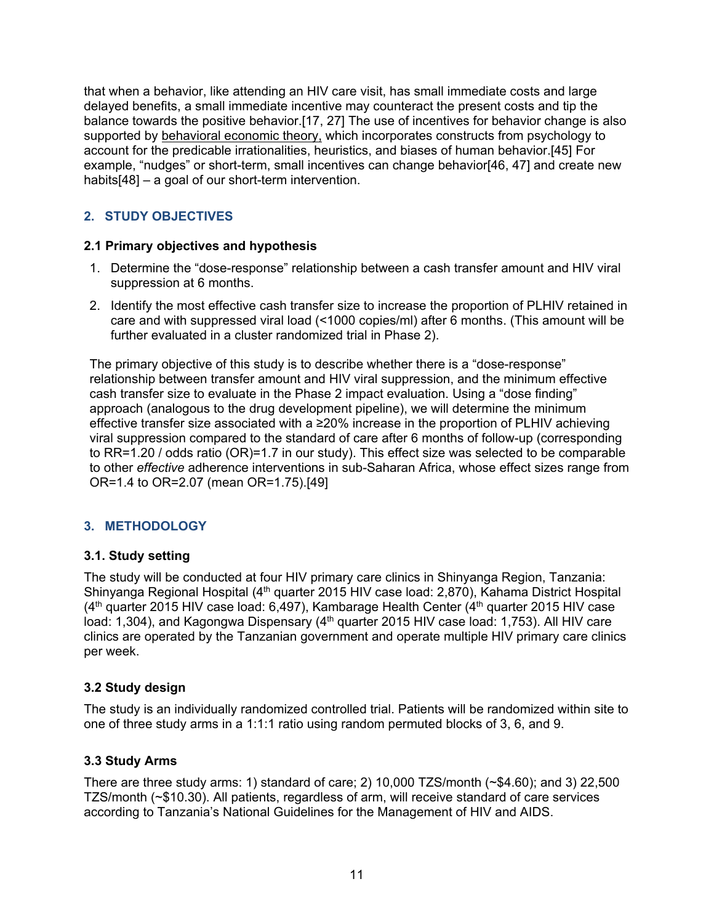that when a behavior, like attending an HIV care visit, has small immediate costs and large delayed benefits, a small immediate incentive may counteract the present costs and tip the balance towards the positive behavior.[17, 27] The use of incentives for behavior change is also supported by behavioral economic theory, which incorporates constructs from psychology to account for the predicable irrationalities, heuristics, and biases of human behavior.[45] For example, "nudges" or short-term, small incentives can change behavior[46, 47] and create new habits[48] – a goal of our short-term intervention.

# **2. STUDY OBJECTIVES**

### **2.1 Primary objectives and hypothesis**

- 1. Determine the "dose-response" relationship between a cash transfer amount and HIV viral suppression at 6 months.
- 2. Identify the most effective cash transfer size to increase the proportion of PLHIV retained in care and with suppressed viral load (<1000 copies/ml) after 6 months. (This amount will be further evaluated in a cluster randomized trial in Phase 2).

The primary objective of this study is to describe whether there is a "dose-response" relationship between transfer amount and HIV viral suppression, and the minimum effective cash transfer size to evaluate in the Phase 2 impact evaluation. Using a "dose finding" approach (analogous to the drug development pipeline), we will determine the minimum effective transfer size associated with a ≥20% increase in the proportion of PLHIV achieving viral suppression compared to the standard of care after 6 months of follow-up (corresponding to RR=1.20 / odds ratio (OR)=1.7 in our study). This effect size was selected to be comparable to other *effective* adherence interventions in sub-Saharan Africa, whose effect sizes range from OR=1.4 to OR=2.07 (mean OR=1.75).[49]

# **3. METHODOLOGY**

#### **3.1. Study setting**

The study will be conducted at four HIV primary care clinics in Shinyanga Region, Tanzania: Shinyanga Regional Hospital (4<sup>th</sup> quarter 2015 HIV case load: 2,870), Kahama District Hospital  $(4<sup>th</sup>$  quarter 2015 HIV case load: 6,497), Kambarage Health Center  $(4<sup>th</sup>$  quarter 2015 HIV case load: 1,304), and Kagongwa Dispensary (4<sup>th</sup> quarter 2015 HIV case load: 1,753). All HIV care clinics are operated by the Tanzanian government and operate multiple HIV primary care clinics per week.

# **3.2 Study design**

The study is an individually randomized controlled trial. Patients will be randomized within site to one of three study arms in a 1:1:1 ratio using random permuted blocks of 3, 6, and 9.

# **3.3 Study Arms**

There are three study arms: 1) standard of care; 2)  $10,000$  TZS/month  $(*$4.60)$ ; and 3) 22,500 TZS/month (~\$10.30). All patients, regardless of arm, will receive standard of care services according to Tanzania's National Guidelines for the Management of HIV and AIDS.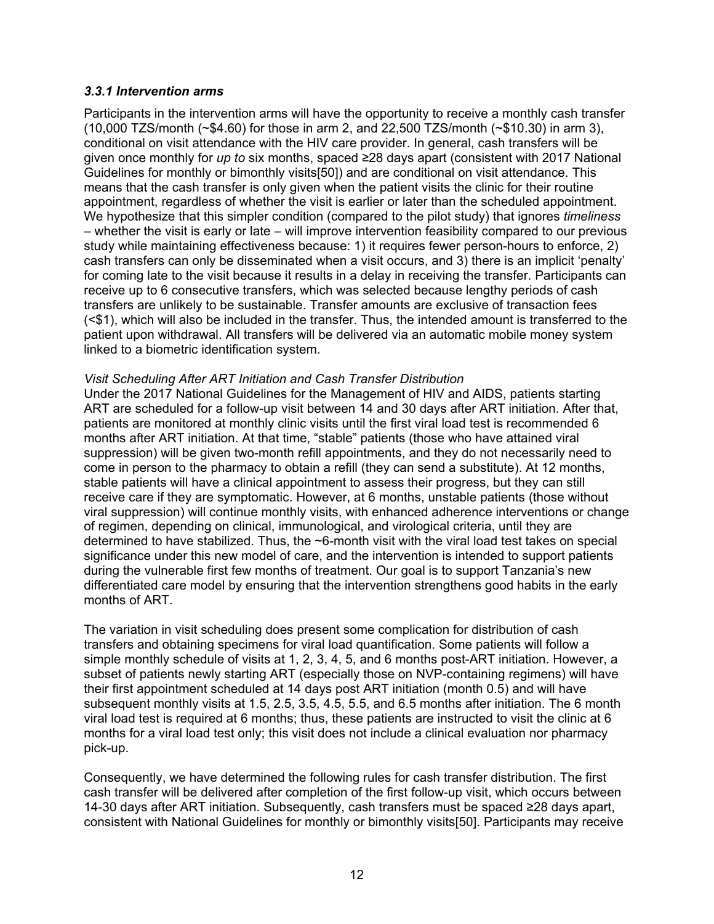#### *3.3.1 Intervention arms*

Participants in the intervention arms will have the opportunity to receive a monthly cash transfer (10,000 TZS/month (~\$4.60) for those in arm 2, and 22,500 TZS/month (~\$10.30) in arm 3), conditional on visit attendance with the HIV care provider. In general, cash transfers will be given once monthly for *up to* six months, spaced ≥28 days apart (consistent with 2017 National Guidelines for monthly or bimonthly visits[50]) and are conditional on visit attendance. This means that the cash transfer is only given when the patient visits the clinic for their routine appointment, regardless of whether the visit is earlier or later than the scheduled appointment. We hypothesize that this simpler condition (compared to the pilot study) that ignores *timeliness* – whether the visit is early or late – will improve intervention feasibility compared to our previous study while maintaining effectiveness because: 1) it requires fewer person-hours to enforce, 2) cash transfers can only be disseminated when a visit occurs, and 3) there is an implicit 'penalty' for coming late to the visit because it results in a delay in receiving the transfer. Participants can receive up to 6 consecutive transfers, which was selected because lengthy periods of cash transfers are unlikely to be sustainable. Transfer amounts are exclusive of transaction fees (<\$1), which will also be included in the transfer. Thus, the intended amount is transferred to the patient upon withdrawal. All transfers will be delivered via an automatic mobile money system linked to a biometric identification system.

#### *Visit Scheduling After ART Initiation and Cash Transfer Distribution*

Under the 2017 National Guidelines for the Management of HIV and AIDS, patients starting ART are scheduled for a follow-up visit between 14 and 30 days after ART initiation. After that, patients are monitored at monthly clinic visits until the first viral load test is recommended 6 months after ART initiation. At that time, "stable" patients (those who have attained viral suppression) will be given two-month refill appointments, and they do not necessarily need to come in person to the pharmacy to obtain a refill (they can send a substitute). At 12 months, stable patients will have a clinical appointment to assess their progress, but they can still receive care if they are symptomatic. However, at 6 months, unstable patients (those without viral suppression) will continue monthly visits, with enhanced adherence interventions or change of regimen, depending on clinical, immunological, and virological criteria, until they are determined to have stabilized. Thus, the ~6-month visit with the viral load test takes on special significance under this new model of care, and the intervention is intended to support patients during the vulnerable first few months of treatment. Our goal is to support Tanzania's new differentiated care model by ensuring that the intervention strengthens good habits in the early months of ART.

The variation in visit scheduling does present some complication for distribution of cash transfers and obtaining specimens for viral load quantification. Some patients will follow a simple monthly schedule of visits at 1, 2, 3, 4, 5, and 6 months post-ART initiation. However, a subset of patients newly starting ART (especially those on NVP-containing regimens) will have their first appointment scheduled at 14 days post ART initiation (month 0.5) and will have subsequent monthly visits at 1.5, 2.5, 3.5, 4.5, 5.5, and 6.5 months after initiation. The 6 month viral load test is required at 6 months; thus, these patients are instructed to visit the clinic at 6 months for a viral load test only; this visit does not include a clinical evaluation nor pharmacy pick-up.

Consequently, we have determined the following rules for cash transfer distribution. The first cash transfer will be delivered after completion of the first follow-up visit, which occurs between 14-30 days after ART initiation. Subsequently, cash transfers must be spaced ≥28 days apart, consistent with National Guidelines for monthly or bimonthly visits[50]. Participants may receive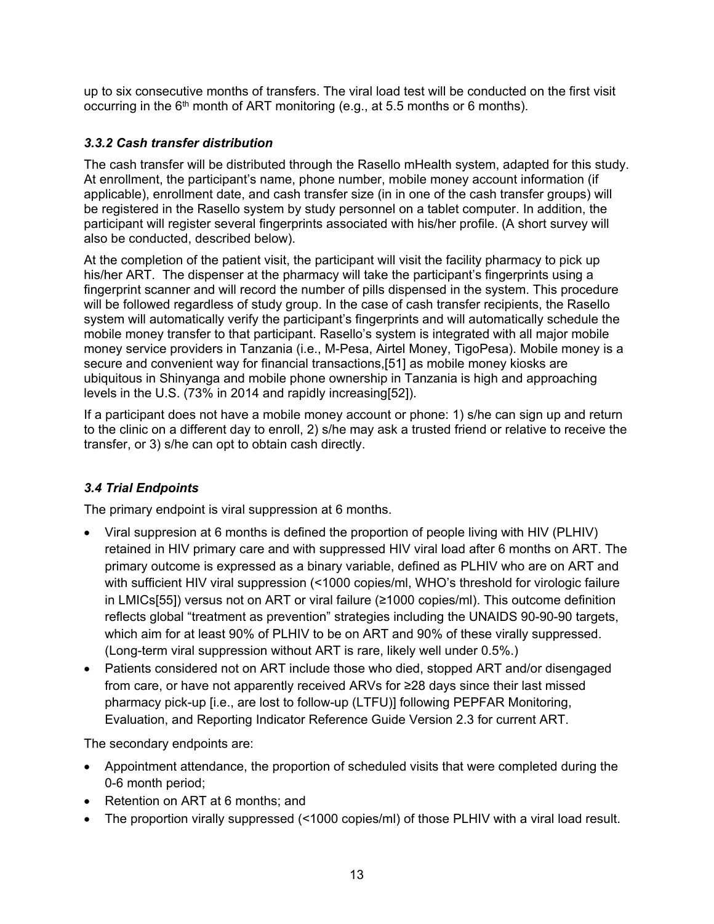up to six consecutive months of transfers. The viral load test will be conducted on the first visit occurring in the  $6<sup>th</sup>$  month of ART monitoring (e.g., at 5.5 months or 6 months).

# *3.3.2 Cash transfer distribution*

The cash transfer will be distributed through the Rasello mHealth system, adapted for this study. At enrollment, the participant's name, phone number, mobile money account information (if applicable), enrollment date, and cash transfer size (in in one of the cash transfer groups) will be registered in the Rasello system by study personnel on a tablet computer. In addition, the participant will register several fingerprints associated with his/her profile. (A short survey will also be conducted, described below).

At the completion of the patient visit, the participant will visit the facility pharmacy to pick up his/her ART. The dispenser at the pharmacy will take the participant's fingerprints using a fingerprint scanner and will record the number of pills dispensed in the system. This procedure will be followed regardless of study group. In the case of cash transfer recipients, the Rasello system will automatically verify the participant's fingerprints and will automatically schedule the mobile money transfer to that participant. Rasello's system is integrated with all major mobile money service providers in Tanzania (i.e., M-Pesa, Airtel Money, TigoPesa). Mobile money is a secure and convenient way for financial transactions,[51] as mobile money kiosks are ubiquitous in Shinyanga and mobile phone ownership in Tanzania is high and approaching levels in the U.S. (73% in 2014 and rapidly increasing[52]).

If a participant does not have a mobile money account or phone: 1) s/he can sign up and return to the clinic on a different day to enroll, 2) s/he may ask a trusted friend or relative to receive the transfer, or 3) s/he can opt to obtain cash directly.

# *3.4 Trial Endpoints*

The primary endpoint is viral suppression at 6 months.

- Viral suppresion at 6 months is defined the proportion of people living with HIV (PLHIV) retained in HIV primary care and with suppressed HIV viral load after 6 months on ART. The primary outcome is expressed as a binary variable, defined as PLHIV who are on ART and with sufficient HIV viral suppression (<1000 copies/ml, WHO's threshold for virologic failure in LMICs[55]) versus not on ART or viral failure (≥1000 copies/ml). This outcome definition reflects global "treatment as prevention" strategies including the UNAIDS 90-90-90 targets, which aim for at least 90% of PLHIV to be on ART and 90% of these virally suppressed. (Long-term viral suppression without ART is rare, likely well under 0.5%.)
- Patients considered not on ART include those who died, stopped ART and/or disengaged from care, or have not apparently received ARVs for ≥28 days since their last missed pharmacy pick-up [i.e., are lost to follow-up (LTFU)] following PEPFAR Monitoring, Evaluation, and Reporting Indicator Reference Guide Version 2.3 for current ART.

The secondary endpoints are:

- Appointment attendance, the proportion of scheduled visits that were completed during the 0-6 month period;
- Retention on ART at 6 months; and
- The proportion virally suppressed (<1000 copies/ml) of those PLHIV with a viral load result.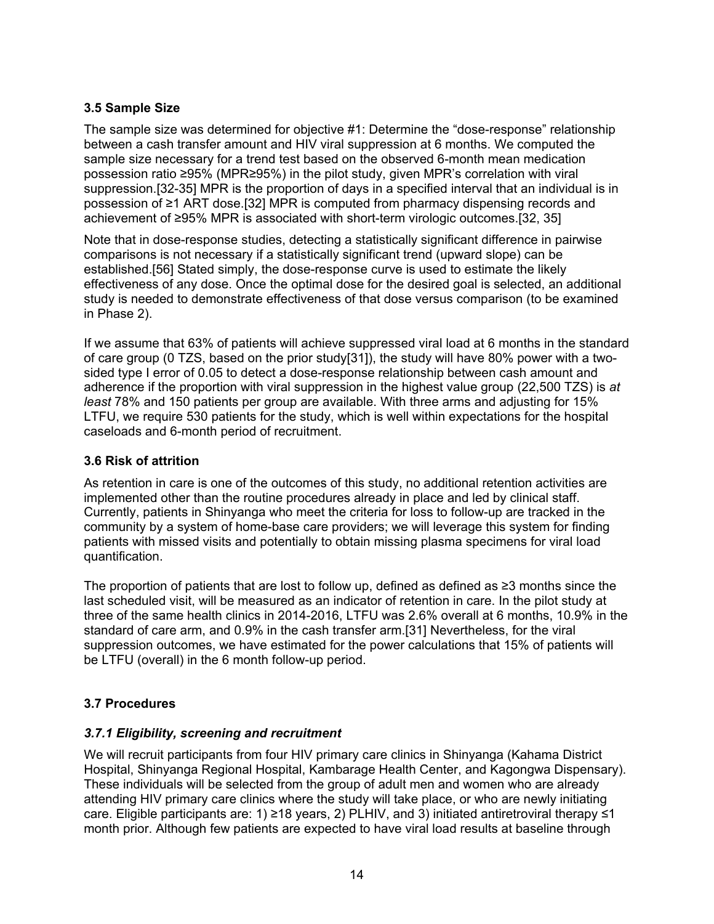# **3.5 Sample Size**

The sample size was determined for objective #1: Determine the "dose-response" relationship between a cash transfer amount and HIV viral suppression at 6 months. We computed the sample size necessary for a trend test based on the observed 6-month mean medication possession ratio ≥95% (MPR≥95%) in the pilot study, given MPR's correlation with viral suppression.[32-35] MPR is the proportion of days in a specified interval that an individual is in possession of ≥1 ART dose.[32] MPR is computed from pharmacy dispensing records and achievement of ≥95% MPR is associated with short-term virologic outcomes.[32, 35]

Note that in dose-response studies, detecting a statistically significant difference in pairwise comparisons is not necessary if a statistically significant trend (upward slope) can be established.[56] Stated simply, the dose-response curve is used to estimate the likely effectiveness of any dose. Once the optimal dose for the desired goal is selected, an additional study is needed to demonstrate effectiveness of that dose versus comparison (to be examined in Phase 2).

If we assume that 63% of patients will achieve suppressed viral load at 6 months in the standard of care group (0 TZS, based on the prior study[31]), the study will have 80% power with a twosided type I error of 0.05 to detect a dose-response relationship between cash amount and adherence if the proportion with viral suppression in the highest value group (22,500 TZS) is *at least* 78% and 150 patients per group are available. With three arms and adjusting for 15% LTFU, we require 530 patients for the study, which is well within expectations for the hospital caseloads and 6-month period of recruitment.

### **3.6 Risk of attrition**

As retention in care is one of the outcomes of this study, no additional retention activities are implemented other than the routine procedures already in place and led by clinical staff. Currently, patients in Shinyanga who meet the criteria for loss to follow-up are tracked in the community by a system of home-base care providers; we will leverage this system for finding patients with missed visits and potentially to obtain missing plasma specimens for viral load quantification.

The proportion of patients that are lost to follow up, defined as defined as ≥3 months since the last scheduled visit, will be measured as an indicator of retention in care. In the pilot study at three of the same health clinics in 2014-2016, LTFU was 2.6% overall at 6 months, 10.9% in the standard of care arm, and 0.9% in the cash transfer arm.[31] Nevertheless, for the viral suppression outcomes, we have estimated for the power calculations that 15% of patients will be LTFU (overall) in the 6 month follow-up period.

# **3.7 Procedures**

# *3.7.1 Eligibility, screening and recruitment*

We will recruit participants from four HIV primary care clinics in Shinyanga (Kahama District Hospital, Shinyanga Regional Hospital, Kambarage Health Center, and Kagongwa Dispensary). These individuals will be selected from the group of adult men and women who are already attending HIV primary care clinics where the study will take place, or who are newly initiating care. Eligible participants are: 1) ≥18 years, 2) PLHIV, and 3) initiated antiretroviral therapy ≤1 month prior. Although few patients are expected to have viral load results at baseline through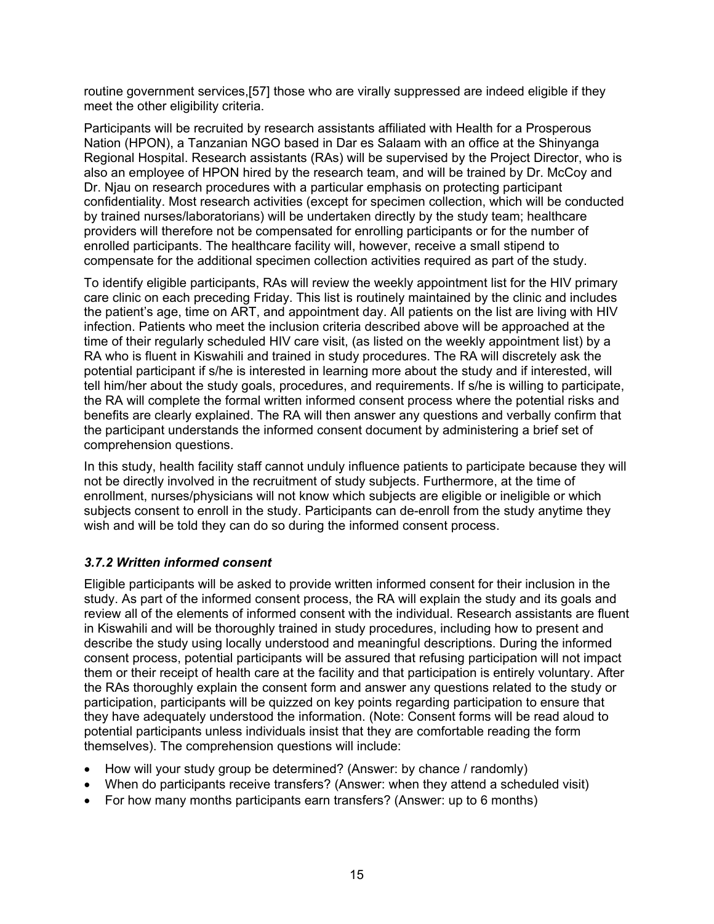routine government services,[57] those who are virally suppressed are indeed eligible if they meet the other eligibility criteria.

Participants will be recruited by research assistants affiliated with Health for a Prosperous Nation (HPON), a Tanzanian NGO based in Dar es Salaam with an office at the Shinyanga Regional Hospital. Research assistants (RAs) will be supervised by the Project Director, who is also an employee of HPON hired by the research team, and will be trained by Dr. McCoy and Dr. Njau on research procedures with a particular emphasis on protecting participant confidentiality. Most research activities (except for specimen collection, which will be conducted by trained nurses/laboratorians) will be undertaken directly by the study team; healthcare providers will therefore not be compensated for enrolling participants or for the number of enrolled participants. The healthcare facility will, however, receive a small stipend to compensate for the additional specimen collection activities required as part of the study.

To identify eligible participants, RAs will review the weekly appointment list for the HIV primary care clinic on each preceding Friday. This list is routinely maintained by the clinic and includes the patient's age, time on ART, and appointment day. All patients on the list are living with HIV infection. Patients who meet the inclusion criteria described above will be approached at the time of their regularly scheduled HIV care visit, (as listed on the weekly appointment list) by a RA who is fluent in Kiswahili and trained in study procedures. The RA will discretely ask the potential participant if s/he is interested in learning more about the study and if interested, will tell him/her about the study goals, procedures, and requirements. If s/he is willing to participate, the RA will complete the formal written informed consent process where the potential risks and benefits are clearly explained. The RA will then answer any questions and verbally confirm that the participant understands the informed consent document by administering a brief set of comprehension questions.

In this study, health facility staff cannot unduly influence patients to participate because they will not be directly involved in the recruitment of study subjects. Furthermore, at the time of enrollment, nurses/physicians will not know which subjects are eligible or ineligible or which subjects consent to enroll in the study. Participants can de-enroll from the study anytime they wish and will be told they can do so during the informed consent process.

#### *3.7.2 Written informed consent*

Eligible participants will be asked to provide written informed consent for their inclusion in the study. As part of the informed consent process, the RA will explain the study and its goals and review all of the elements of informed consent with the individual. Research assistants are fluent in Kiswahili and will be thoroughly trained in study procedures, including how to present and describe the study using locally understood and meaningful descriptions. During the informed consent process, potential participants will be assured that refusing participation will not impact them or their receipt of health care at the facility and that participation is entirely voluntary. After the RAs thoroughly explain the consent form and answer any questions related to the study or participation, participants will be quizzed on key points regarding participation to ensure that they have adequately understood the information. (Note: Consent forms will be read aloud to potential participants unless individuals insist that they are comfortable reading the form themselves). The comprehension questions will include:

- How will your study group be determined? (Answer: by chance / randomly)
- When do participants receive transfers? (Answer: when they attend a scheduled visit)
- For how many months participants earn transfers? (Answer: up to 6 months)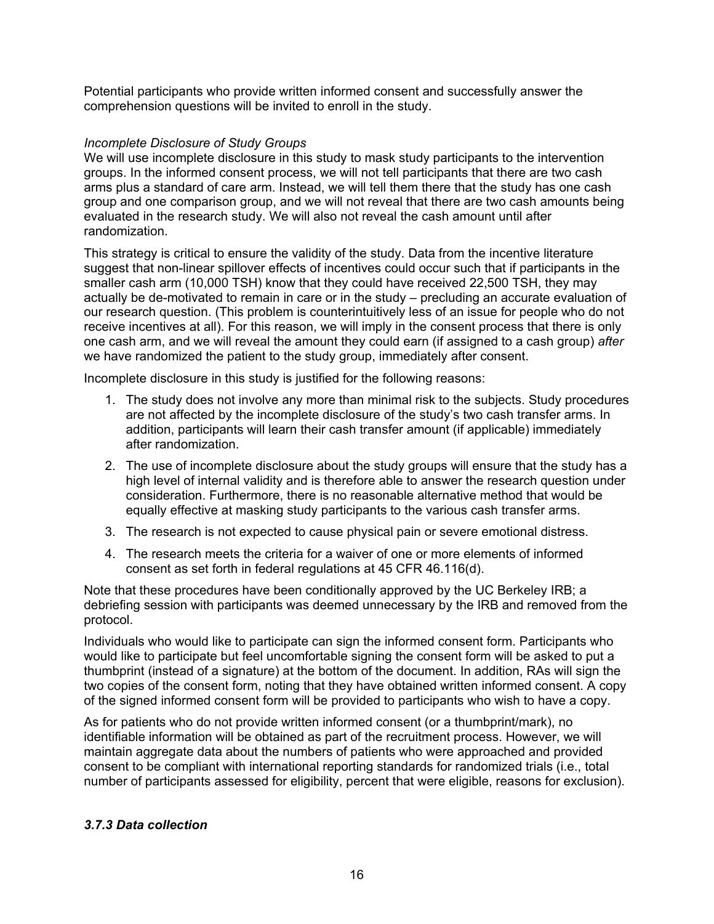Potential participants who provide written informed consent and successfully answer the comprehension questions will be invited to enroll in the study.

#### *Incomplete Disclosure of Study Groups*

We will use incomplete disclosure in this study to mask study participants to the intervention groups. In the informed consent process, we will not tell participants that there are two cash arms plus a standard of care arm. Instead, we will tell them there that the study has one cash group and one comparison group, and we will not reveal that there are two cash amounts being evaluated in the research study. We will also not reveal the cash amount until after randomization.

This strategy is critical to ensure the validity of the study. Data from the incentive literature suggest that non-linear spillover effects of incentives could occur such that if participants in the smaller cash arm (10,000 TSH) know that they could have received 22,500 TSH, they may actually be de-motivated to remain in care or in the study – precluding an accurate evaluation of our research question. (This problem is counterintuitively less of an issue for people who do not receive incentives at all). For this reason, we will imply in the consent process that there is only one cash arm, and we will reveal the amount they could earn (if assigned to a cash group) *after* we have randomized the patient to the study group, immediately after consent.

Incomplete disclosure in this study is justified for the following reasons:

- 1. The study does not involve any more than minimal risk to the subjects. Study procedures are not affected by the incomplete disclosure of the study's two cash transfer arms. In addition, participants will learn their cash transfer amount (if applicable) immediately after randomization.
- 2. The use of incomplete disclosure about the study groups will ensure that the study has a high level of internal validity and is therefore able to answer the research question under consideration. Furthermore, there is no reasonable alternative method that would be equally effective at masking study participants to the various cash transfer arms.
- 3. The research is not expected to cause physical pain or severe emotional distress.
- 4. The research meets the criteria for a waiver of one or more elements of informed consent as set forth in federal regulations at 45 CFR 46.116(d).

Note that these procedures have been conditionally approved by the UC Berkeley IRB; a debriefing session with participants was deemed unnecessary by the IRB and removed from the protocol.

Individuals who would like to participate can sign the informed consent form. Participants who would like to participate but feel uncomfortable signing the consent form will be asked to put a thumbprint (instead of a signature) at the bottom of the document. In addition, RAs will sign the two copies of the consent form, noting that they have obtained written informed consent. A copy of the signed informed consent form will be provided to participants who wish to have a copy.

As for patients who do not provide written informed consent (or a thumbprint/mark), no identifiable information will be obtained as part of the recruitment process. However, we will maintain aggregate data about the numbers of patients who were approached and provided consent to be compliant with international reporting standards for randomized trials (i.e., total number of participants assessed for eligibility, percent that were eligible, reasons for exclusion).

#### *3.7.3 Data collection*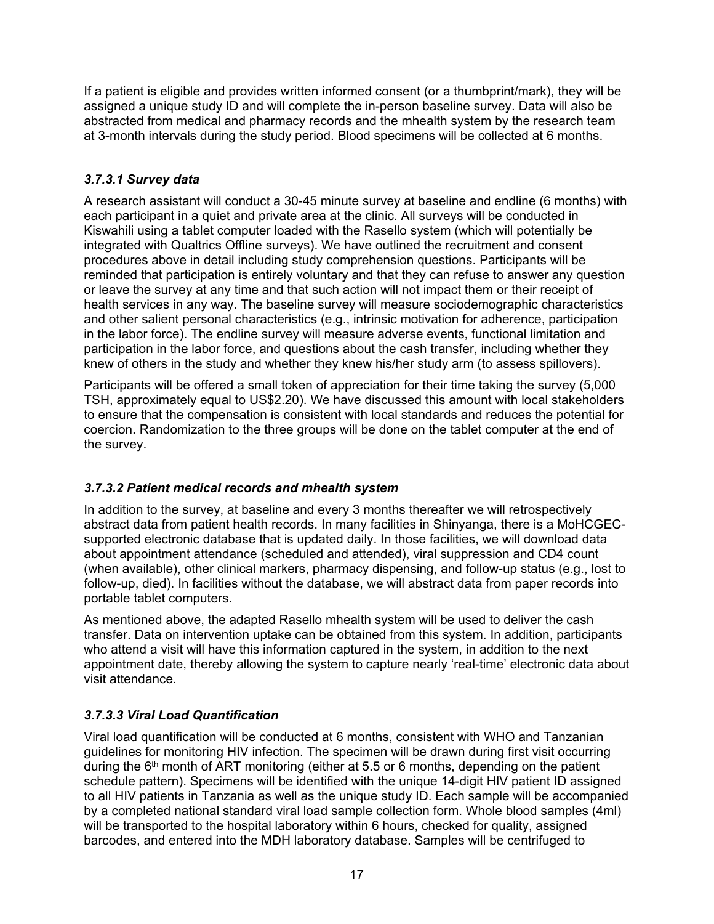If a patient is eligible and provides written informed consent (or a thumbprint/mark), they will be assigned a unique study ID and will complete the in-person baseline survey. Data will also be abstracted from medical and pharmacy records and the mhealth system by the research team at 3-month intervals during the study period. Blood specimens will be collected at 6 months.

# *3.7.3.1 Survey data*

A research assistant will conduct a 30-45 minute survey at baseline and endline (6 months) with each participant in a quiet and private area at the clinic. All surveys will be conducted in Kiswahili using a tablet computer loaded with the Rasello system (which will potentially be integrated with Qualtrics Offline surveys). We have outlined the recruitment and consent procedures above in detail including study comprehension questions. Participants will be reminded that participation is entirely voluntary and that they can refuse to answer any question or leave the survey at any time and that such action will not impact them or their receipt of health services in any way. The baseline survey will measure sociodemographic characteristics and other salient personal characteristics (e.g., intrinsic motivation for adherence, participation in the labor force). The endline survey will measure adverse events, functional limitation and participation in the labor force, and questions about the cash transfer, including whether they knew of others in the study and whether they knew his/her study arm (to assess spillovers).

Participants will be offered a small token of appreciation for their time taking the survey (5,000 TSH, approximately equal to US\$2.20). We have discussed this amount with local stakeholders to ensure that the compensation is consistent with local standards and reduces the potential for coercion. Randomization to the three groups will be done on the tablet computer at the end of the survey.

# *3.7.3.2 Patient medical records and mhealth system*

In addition to the survey, at baseline and every 3 months thereafter we will retrospectively abstract data from patient health records. In many facilities in Shinyanga, there is a MoHCGECsupported electronic database that is updated daily. In those facilities, we will download data about appointment attendance (scheduled and attended), viral suppression and CD4 count (when available), other clinical markers, pharmacy dispensing, and follow-up status (e.g., lost to follow-up, died). In facilities without the database, we will abstract data from paper records into portable tablet computers.

As mentioned above, the adapted Rasello mhealth system will be used to deliver the cash transfer. Data on intervention uptake can be obtained from this system. In addition, participants who attend a visit will have this information captured in the system, in addition to the next appointment date, thereby allowing the system to capture nearly 'real-time' electronic data about visit attendance.

# *3.7.3.3 Viral Load Quantification*

Viral load quantification will be conducted at 6 months, consistent with WHO and Tanzanian guidelines for monitoring HIV infection. The specimen will be drawn during first visit occurring during the  $6<sup>th</sup>$  month of ART monitoring (either at 5.5 or 6 months, depending on the patient schedule pattern). Specimens will be identified with the unique 14-digit HIV patient ID assigned to all HIV patients in Tanzania as well as the unique study ID. Each sample will be accompanied by a completed national standard viral load sample collection form. Whole blood samples (4ml) will be transported to the hospital laboratory within 6 hours, checked for quality, assigned barcodes, and entered into the MDH laboratory database. Samples will be centrifuged to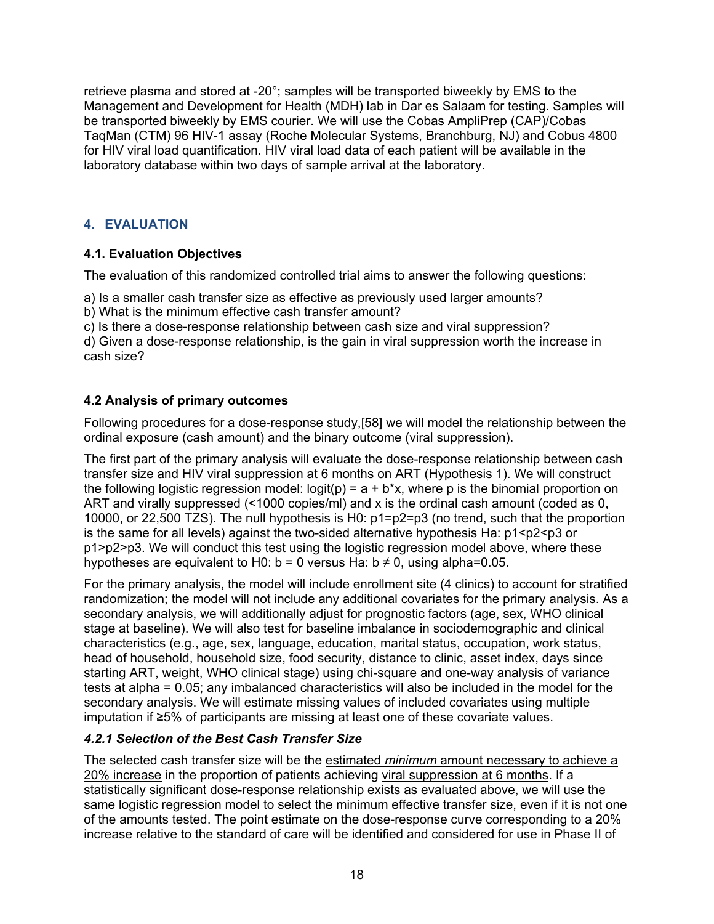retrieve plasma and stored at -20°; samples will be transported biweekly by EMS to the Management and Development for Health (MDH) lab in Dar es Salaam for testing. Samples will be transported biweekly by EMS courier. We will use the Cobas AmpliPrep (CAP)/Cobas TaqMan (CTM) 96 HIV-1 assay (Roche Molecular Systems, Branchburg, NJ) and Cobus 4800 for HIV viral load quantification. HIV viral load data of each patient will be available in the laboratory database within two days of sample arrival at the laboratory.

# **4. EVALUATION**

# **4.1. Evaluation Objectives**

The evaluation of this randomized controlled trial aims to answer the following questions:

a) Is a smaller cash transfer size as effective as previously used larger amounts?

b) What is the minimum effective cash transfer amount?

c) Is there a dose-response relationship between cash size and viral suppression?

d) Given a dose-response relationship, is the gain in viral suppression worth the increase in cash size?

# **4.2 Analysis of primary outcomes**

Following procedures for a dose-response study,[58] we will model the relationship between the ordinal exposure (cash amount) and the binary outcome (viral suppression).

The first part of the primary analysis will evaluate the dose-response relationship between cash transfer size and HIV viral suppression at 6 months on ART (Hypothesis 1). We will construct the following logistic regression model:  $logit(p) = a + b*x$ , where p is the binomial proportion on ART and virally suppressed (<1000 copies/ml) and x is the ordinal cash amount (coded as 0, 10000, or 22,500 TZS). The null hypothesis is H0: p1=p2=p3 (no trend, such that the proportion is the same for all levels) against the two-sided alternative hypothesis Ha: p1<p2<p3 or p1>p2>p3. We will conduct this test using the logistic regression model above, where these hypotheses are equivalent to H0:  $b = 0$  versus Ha:  $b \neq 0$ , using alpha=0.05.

For the primary analysis, the model will include enrollment site (4 clinics) to account for stratified randomization; the model will not include any additional covariates for the primary analysis. As a secondary analysis, we will additionally adjust for prognostic factors (age, sex, WHO clinical stage at baseline). We will also test for baseline imbalance in sociodemographic and clinical characteristics (e.g., age, sex, language, education, marital status, occupation, work status, head of household, household size, food security, distance to clinic, asset index, days since starting ART, weight, WHO clinical stage) using chi-square and one-way analysis of variance tests at alpha = 0.05; any imbalanced characteristics will also be included in the model for the secondary analysis. We will estimate missing values of included covariates using multiple imputation if ≥5% of participants are missing at least one of these covariate values.

# *4.2.1 Selection of the Best Cash Transfer Size*

The selected cash transfer size will be the estimated *minimum* amount necessary to achieve a 20% increase in the proportion of patients achieving viral suppression at 6 months. If a statistically significant dose-response relationship exists as evaluated above, we will use the same logistic regression model to select the minimum effective transfer size, even if it is not one of the amounts tested. The point estimate on the dose-response curve corresponding to a 20% increase relative to the standard of care will be identified and considered for use in Phase II of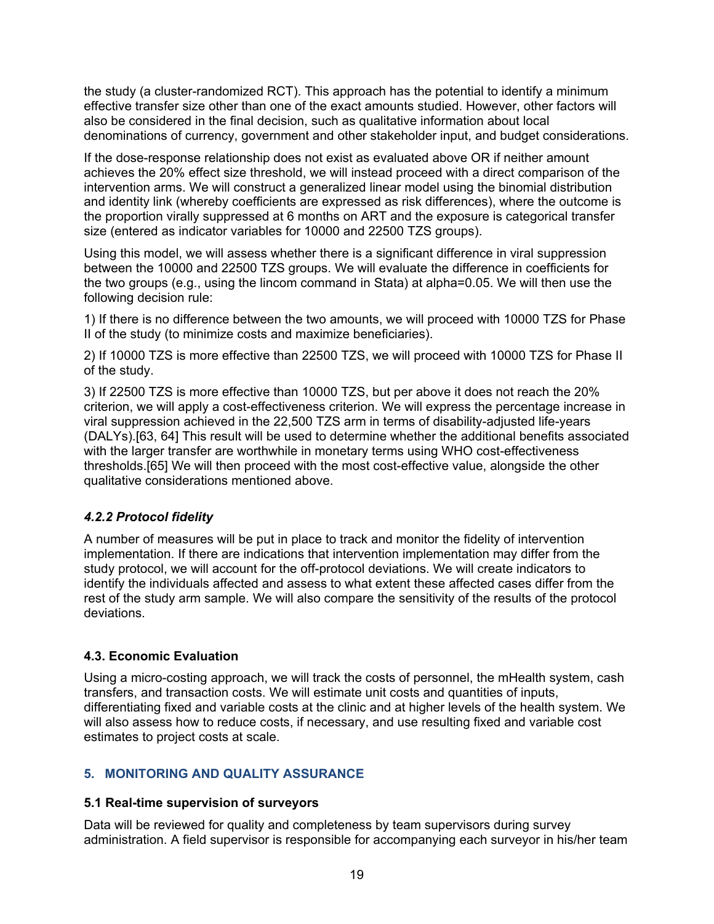the study (a cluster-randomized RCT). This approach has the potential to identify a minimum effective transfer size other than one of the exact amounts studied. However, other factors will also be considered in the final decision, such as qualitative information about local denominations of currency, government and other stakeholder input, and budget considerations.

If the dose-response relationship does not exist as evaluated above OR if neither amount achieves the 20% effect size threshold, we will instead proceed with a direct comparison of the intervention arms. We will construct a generalized linear model using the binomial distribution and identity link (whereby coefficients are expressed as risk differences), where the outcome is the proportion virally suppressed at 6 months on ART and the exposure is categorical transfer size (entered as indicator variables for 10000 and 22500 TZS groups).

Using this model, we will assess whether there is a significant difference in viral suppression between the 10000 and 22500 TZS groups. We will evaluate the difference in coefficients for the two groups (e.g., using the lincom command in Stata) at alpha=0.05. We will then use the following decision rule:

1) If there is no difference between the two amounts, we will proceed with 10000 TZS for Phase II of the study (to minimize costs and maximize beneficiaries).

2) If 10000 TZS is more effective than 22500 TZS, we will proceed with 10000 TZS for Phase II of the study.

3) If 22500 TZS is more effective than 10000 TZS, but per above it does not reach the 20% criterion, we will apply a cost-effectiveness criterion. We will express the percentage increase in viral suppression achieved in the 22,500 TZS arm in terms of disability-adjusted life-years (DALYs).[63, 64] This result will be used to determine whether the additional benefits associated with the larger transfer are worthwhile in monetary terms using WHO cost-effectiveness thresholds.[65] We will then proceed with the most cost-effective value, alongside the other qualitative considerations mentioned above.

# *4.2.2 Protocol fidelity*

A number of measures will be put in place to track and monitor the fidelity of intervention implementation. If there are indications that intervention implementation may differ from the study protocol, we will account for the off-protocol deviations. We will create indicators to identify the individuals affected and assess to what extent these affected cases differ from the rest of the study arm sample. We will also compare the sensitivity of the results of the protocol deviations.

# **4.3. Economic Evaluation**

Using a micro-costing approach, we will track the costs of personnel, the mHealth system, cash transfers, and transaction costs. We will estimate unit costs and quantities of inputs, differentiating fixed and variable costs at the clinic and at higher levels of the health system. We will also assess how to reduce costs, if necessary, and use resulting fixed and variable cost estimates to project costs at scale.

# **5. MONITORING AND QUALITY ASSURANCE**

# **5.1 Real-time supervision of surveyors**

Data will be reviewed for quality and completeness by team supervisors during survey administration. A field supervisor is responsible for accompanying each surveyor in his/her team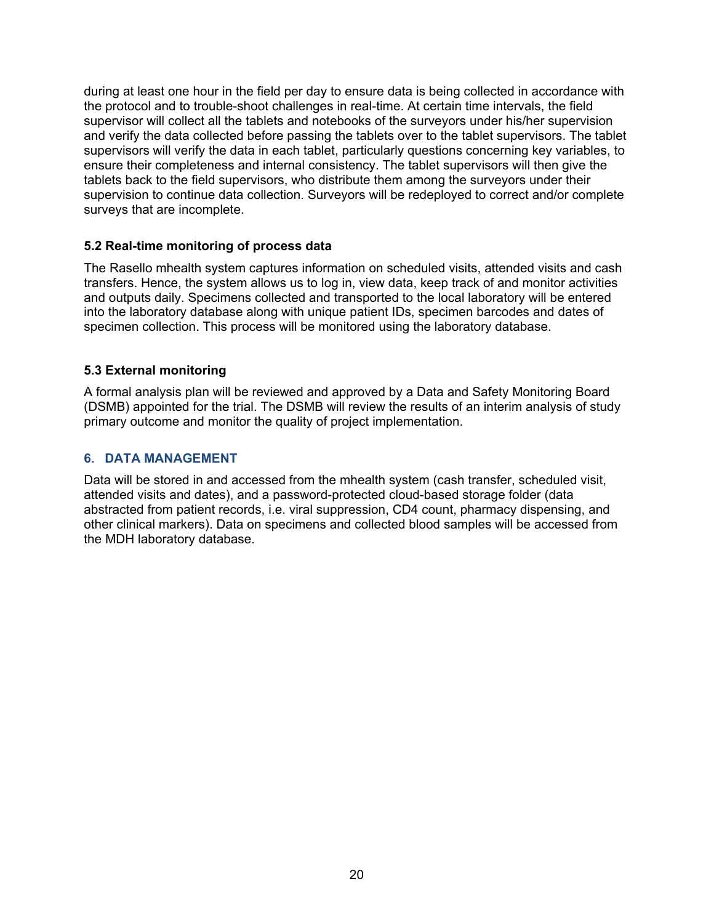during at least one hour in the field per day to ensure data is being collected in accordance with the protocol and to trouble-shoot challenges in real-time. At certain time intervals, the field supervisor will collect all the tablets and notebooks of the surveyors under his/her supervision and verify the data collected before passing the tablets over to the tablet supervisors. The tablet supervisors will verify the data in each tablet, particularly questions concerning key variables, to ensure their completeness and internal consistency. The tablet supervisors will then give the tablets back to the field supervisors, who distribute them among the surveyors under their supervision to continue data collection. Surveyors will be redeployed to correct and/or complete surveys that are incomplete.

#### **5.2 Real-time monitoring of process data**

The Rasello mhealth system captures information on scheduled visits, attended visits and cash transfers. Hence, the system allows us to log in, view data, keep track of and monitor activities and outputs daily. Specimens collected and transported to the local laboratory will be entered into the laboratory database along with unique patient IDs, specimen barcodes and dates of specimen collection. This process will be monitored using the laboratory database.

### **5.3 External monitoring**

A formal analysis plan will be reviewed and approved by a Data and Safety Monitoring Board (DSMB) appointed for the trial. The DSMB will review the results of an interim analysis of study primary outcome and monitor the quality of project implementation.

### **6. DATA MANAGEMENT**

Data will be stored in and accessed from the mhealth system (cash transfer, scheduled visit, attended visits and dates), and a password-protected cloud-based storage folder (data abstracted from patient records, i.e. viral suppression, CD4 count, pharmacy dispensing, and other clinical markers). Data on specimens and collected blood samples will be accessed from the MDH laboratory database.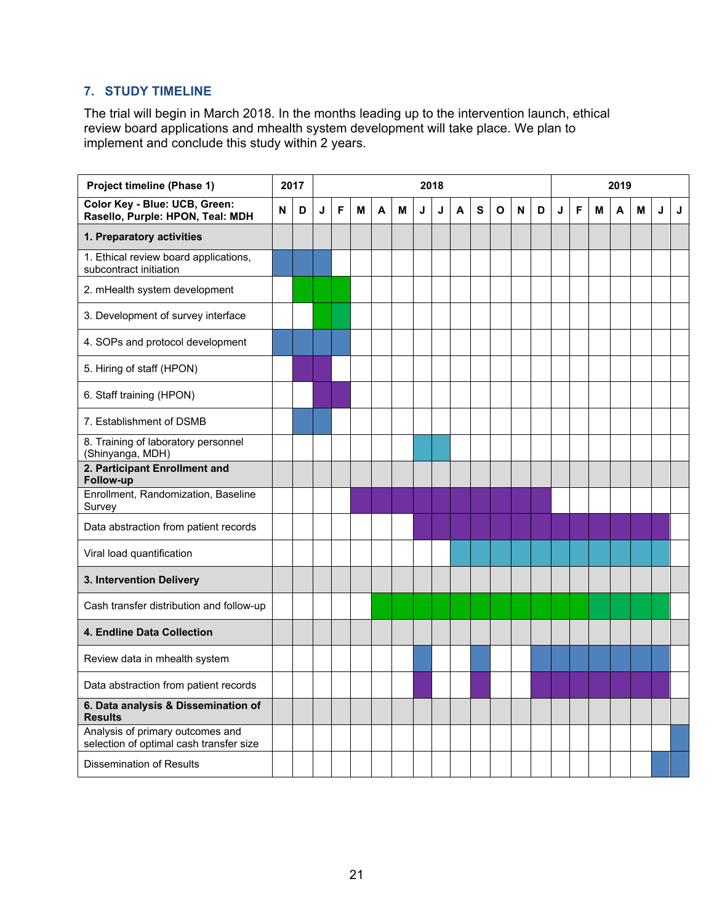# **7. STUDY TIMELINE**

The trial will begin in March 2018. In the months leading up to the intervention launch, ethical review board applications and mhealth system development will take place. We plan to implement and conclude this study within 2 years.

| <b>Project timeline (Phase 1)</b>                                           |   | 2017 | 2018 |   |   |   |   |   |   |   |   |              | 2019 |   |   |   |   |   |   |   |   |
|-----------------------------------------------------------------------------|---|------|------|---|---|---|---|---|---|---|---|--------------|------|---|---|---|---|---|---|---|---|
| Color Key - Blue: UCB, Green:<br>Rasello, Purple: HPON, Teal: MDH           | N | D    | J    | F | M | A | M | J | J | A | S | $\mathbf{o}$ | N    | D | J | F | M | A | M | J | J |
| 1. Preparatory activities                                                   |   |      |      |   |   |   |   |   |   |   |   |              |      |   |   |   |   |   |   |   |   |
| 1. Ethical review board applications,<br>subcontract initiation             |   |      |      |   |   |   |   |   |   |   |   |              |      |   |   |   |   |   |   |   |   |
| 2. mHealth system development                                               |   |      |      |   |   |   |   |   |   |   |   |              |      |   |   |   |   |   |   |   |   |
| 3. Development of survey interface                                          |   |      |      |   |   |   |   |   |   |   |   |              |      |   |   |   |   |   |   |   |   |
| 4. SOPs and protocol development                                            |   |      |      |   |   |   |   |   |   |   |   |              |      |   |   |   |   |   |   |   |   |
| 5. Hiring of staff (HPON)                                                   |   |      |      |   |   |   |   |   |   |   |   |              |      |   |   |   |   |   |   |   |   |
| 6. Staff training (HPON)                                                    |   |      |      |   |   |   |   |   |   |   |   |              |      |   |   |   |   |   |   |   |   |
| 7. Establishment of DSMB                                                    |   |      |      |   |   |   |   |   |   |   |   |              |      |   |   |   |   |   |   |   |   |
| 8. Training of laboratory personnel<br>(Shinyanga, MDH)                     |   |      |      |   |   |   |   |   |   |   |   |              |      |   |   |   |   |   |   |   |   |
| 2. Participant Enrollment and<br>Follow-up                                  |   |      |      |   |   |   |   |   |   |   |   |              |      |   |   |   |   |   |   |   |   |
| Enrollment, Randomization, Baseline<br>Survey                               |   |      |      |   |   |   |   |   |   |   |   |              |      |   |   |   |   |   |   |   |   |
| Data abstraction from patient records                                       |   |      |      |   |   |   |   |   |   |   |   |              |      |   |   |   |   |   |   |   |   |
| Viral load quantification                                                   |   |      |      |   |   |   |   |   |   |   |   |              |      |   |   |   |   |   |   |   |   |
| 3. Intervention Delivery                                                    |   |      |      |   |   |   |   |   |   |   |   |              |      |   |   |   |   |   |   |   |   |
| Cash transfer distribution and follow-up                                    |   |      |      |   |   |   |   |   |   |   |   |              |      |   |   |   |   |   |   |   |   |
| 4. Endline Data Collection                                                  |   |      |      |   |   |   |   |   |   |   |   |              |      |   |   |   |   |   |   |   |   |
| Review data in mhealth system                                               |   |      |      |   |   |   |   |   |   |   |   |              |      |   |   |   |   |   |   |   |   |
| Data abstraction from patient records                                       |   |      |      |   |   |   |   |   |   |   |   |              |      |   |   |   |   |   |   |   |   |
| 6. Data analysis & Dissemination of<br><b>Results</b>                       |   |      |      |   |   |   |   |   |   |   |   |              |      |   |   |   |   |   |   |   |   |
| Analysis of primary outcomes and<br>selection of optimal cash transfer size |   |      |      |   |   |   |   |   |   |   |   |              |      |   |   |   |   |   |   |   |   |
| Dissemination of Results                                                    |   |      |      |   |   |   |   |   |   |   |   |              |      |   |   |   |   |   |   |   |   |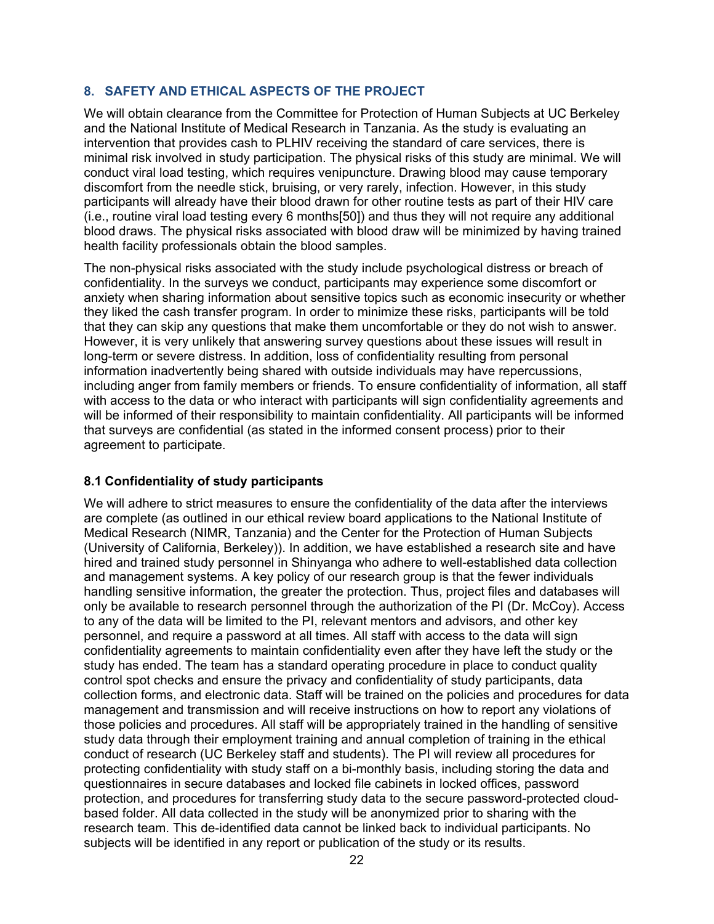### **8. SAFETY AND ETHICAL ASPECTS OF THE PROJECT**

We will obtain clearance from the Committee for Protection of Human Subjects at UC Berkeley and the National Institute of Medical Research in Tanzania. As the study is evaluating an intervention that provides cash to PLHIV receiving the standard of care services, there is minimal risk involved in study participation. The physical risks of this study are minimal. We will conduct viral load testing, which requires venipuncture. Drawing blood may cause temporary discomfort from the needle stick, bruising, or very rarely, infection. However, in this study participants will already have their blood drawn for other routine tests as part of their HIV care (i.e., routine viral load testing every 6 months[50]) and thus they will not require any additional blood draws. The physical risks associated with blood draw will be minimized by having trained health facility professionals obtain the blood samples.

The non-physical risks associated with the study include psychological distress or breach of confidentiality. In the surveys we conduct, participants may experience some discomfort or anxiety when sharing information about sensitive topics such as economic insecurity or whether they liked the cash transfer program. In order to minimize these risks, participants will be told that they can skip any questions that make them uncomfortable or they do not wish to answer. However, it is very unlikely that answering survey questions about these issues will result in long-term or severe distress. In addition, loss of confidentiality resulting from personal information inadvertently being shared with outside individuals may have repercussions, including anger from family members or friends. To ensure confidentiality of information, all staff with access to the data or who interact with participants will sign confidentiality agreements and will be informed of their responsibility to maintain confidentiality. All participants will be informed that surveys are confidential (as stated in the informed consent process) prior to their agreement to participate.

#### **8.1 Confidentiality of study participants**

We will adhere to strict measures to ensure the confidentiality of the data after the interviews are complete (as outlined in our ethical review board applications to the National Institute of Medical Research (NIMR, Tanzania) and the Center for the Protection of Human Subjects (University of California, Berkeley)). In addition, we have established a research site and have hired and trained study personnel in Shinyanga who adhere to well-established data collection and management systems. A key policy of our research group is that the fewer individuals handling sensitive information, the greater the protection. Thus, project files and databases will only be available to research personnel through the authorization of the PI (Dr. McCoy). Access to any of the data will be limited to the PI, relevant mentors and advisors, and other key personnel, and require a password at all times. All staff with access to the data will sign confidentiality agreements to maintain confidentiality even after they have left the study or the study has ended. The team has a standard operating procedure in place to conduct quality control spot checks and ensure the privacy and confidentiality of study participants, data collection forms, and electronic data. Staff will be trained on the policies and procedures for data management and transmission and will receive instructions on how to report any violations of those policies and procedures. All staff will be appropriately trained in the handling of sensitive study data through their employment training and annual completion of training in the ethical conduct of research (UC Berkeley staff and students). The PI will review all procedures for protecting confidentiality with study staff on a bi-monthly basis, including storing the data and questionnaires in secure databases and locked file cabinets in locked offices, password protection, and procedures for transferring study data to the secure password-protected cloudbased folder. All data collected in the study will be anonymized prior to sharing with the research team. This de-identified data cannot be linked back to individual participants. No subjects will be identified in any report or publication of the study or its results.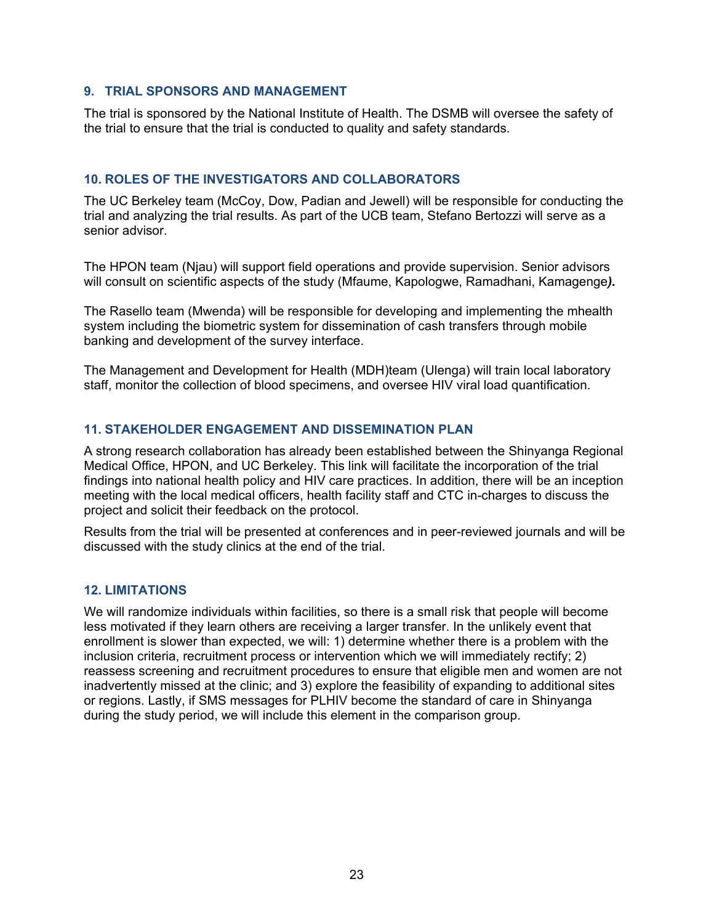#### **9. TRIAL SPONSORS AND MANAGEMENT**

The trial is sponsored by the National Institute of Health. The DSMB will oversee the safety of the trial to ensure that the trial is conducted to quality and safety standards.

#### **10. ROLES OF THE INVESTIGATORS AND COLLABORATORS**

The UC Berkeley team (McCoy, Dow, Padian and Jewell) will be responsible for conducting the trial and analyzing the trial results. As part of the UCB team, Stefano Bertozzi will serve as a senior advisor.

The HPON team (Njau) will support field operations and provide supervision. Senior advisors will consult on scientific aspects of the study (Mfaume, Kapologwe, Ramadhani, Kamagenge*).*

The Rasello team (Mwenda) will be responsible for developing and implementing the mhealth system including the biometric system for dissemination of cash transfers through mobile banking and development of the survey interface.

The Management and Development for Health (MDH)team (Ulenga) will train local laboratory staff, monitor the collection of blood specimens, and oversee HIV viral load quantification.

#### **11. STAKEHOLDER ENGAGEMENT AND DISSEMINATION PLAN**

A strong research collaboration has already been established between the Shinyanga Regional Medical Office, HPON, and UC Berkeley. This link will facilitate the incorporation of the trial findings into national health policy and HIV care practices. In addition, there will be an inception meeting with the local medical officers, health facility staff and CTC in-charges to discuss the project and solicit their feedback on the protocol.

Results from the trial will be presented at conferences and in peer-reviewed journals and will be discussed with the study clinics at the end of the trial.

#### **12. LIMITATIONS**

We will randomize individuals within facilities, so there is a small risk that people will become less motivated if they learn others are receiving a larger transfer. In the unlikely event that enrollment is slower than expected, we will: 1) determine whether there is a problem with the inclusion criteria, recruitment process or intervention which we will immediately rectify; 2) reassess screening and recruitment procedures to ensure that eligible men and women are not inadvertently missed at the clinic; and 3) explore the feasibility of expanding to additional sites or regions. Lastly, if SMS messages for PLHIV become the standard of care in Shinyanga during the study period, we will include this element in the comparison group.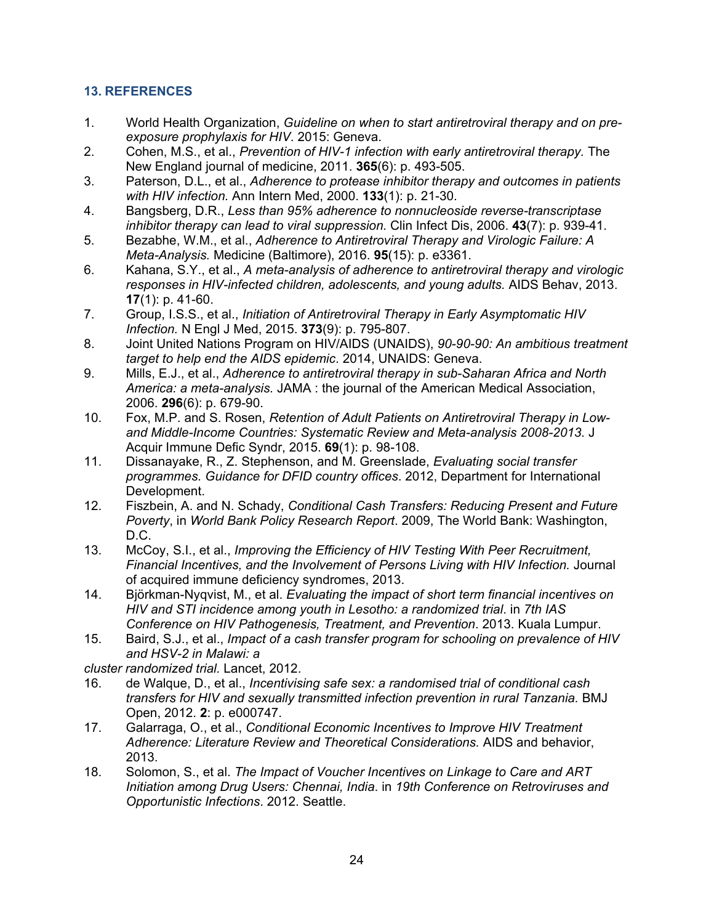# **13. REFERENCES**

- 1. World Health Organization, *Guideline on when to start antiretroviral therapy and on preexposure prophylaxis for HIV*. 2015: Geneva.
- 2. Cohen, M.S., et al., *Prevention of HIV-1 infection with early antiretroviral therapy.* The New England journal of medicine, 2011. **365**(6): p. 493-505.
- 3. Paterson, D.L., et al., *Adherence to protease inhibitor therapy and outcomes in patients with HIV infection.* Ann Intern Med, 2000. **133**(1): p. 21-30.
- 4. Bangsberg, D.R., *Less than 95% adherence to nonnucleoside reverse-transcriptase inhibitor therapy can lead to viral suppression.* Clin Infect Dis, 2006. **43**(7): p. 939-41.
- 5. Bezabhe, W.M., et al., *Adherence to Antiretroviral Therapy and Virologic Failure: A Meta-Analysis.* Medicine (Baltimore), 2016. **95**(15): p. e3361.
- 6. Kahana, S.Y., et al., *A meta-analysis of adherence to antiretroviral therapy and virologic responses in HIV-infected children, adolescents, and young adults.* AIDS Behav, 2013. **17**(1): p. 41-60.
- 7. Group, I.S.S., et al., *Initiation of Antiretroviral Therapy in Early Asymptomatic HIV Infection.* N Engl J Med, 2015. **373**(9): p. 795-807.
- 8. Joint United Nations Program on HIV/AIDS (UNAIDS), *90-90-90: An ambitious treatment target to help end the AIDS epidemic*. 2014, UNAIDS: Geneva.
- 9. Mills, E.J., et al., *Adherence to antiretroviral therapy in sub-Saharan Africa and North America: a meta-analysis.* JAMA : the journal of the American Medical Association, 2006. **296**(6): p. 679-90.
- 10. Fox, M.P. and S. Rosen, *Retention of Adult Patients on Antiretroviral Therapy in Lowand Middle-Income Countries: Systematic Review and Meta-analysis 2008-2013.* J Acquir Immune Defic Syndr, 2015. **69**(1): p. 98-108.
- 11. Dissanayake, R., Z. Stephenson, and M. Greenslade, *Evaluating social transfer programmes. Guidance for DFID country offices*. 2012, Department for International Development.
- 12. Fiszbein, A. and N. Schady, *Conditional Cash Transfers: Reducing Present and Future Poverty*, in *World Bank Policy Research Report*. 2009, The World Bank: Washington, D.C.
- 13. McCoy, S.I., et al., *Improving the Efficiency of HIV Testing With Peer Recruitment, Financial Incentives, and the Involvement of Persons Living with HIV Infection.* Journal of acquired immune deficiency syndromes, 2013.
- 14. Björkman-Nyqvist, M., et al. *Evaluating the impact of short term financial incentives on HIV and STI incidence among youth in Lesotho: a randomized trial*. in *7th IAS Conference on HIV Pathogenesis, Treatment, and Prevention*. 2013. Kuala Lumpur.
- 15. Baird, S.J., et al., *Impact of a cash transfer program for schooling on prevalence of HIV and HSV-2 in Malawi: a*

*cluster randomized trial.* Lancet, 2012.

- 16. de Walque, D., et al., *Incentivising safe sex: a randomised trial of conditional cash transfers for HIV and sexually transmitted infection prevention in rural Tanzania.* BMJ Open, 2012. **2**: p. e000747.
- 17. Galarraga, O., et al., *Conditional Economic Incentives to Improve HIV Treatment Adherence: Literature Review and Theoretical Considerations.* AIDS and behavior, 2013.
- 18. Solomon, S., et al. *The Impact of Voucher Incentives on Linkage to Care and ART Initiation among Drug Users: Chennai, India*. in *19th Conference on Retroviruses and Opportunistic Infections*. 2012. Seattle.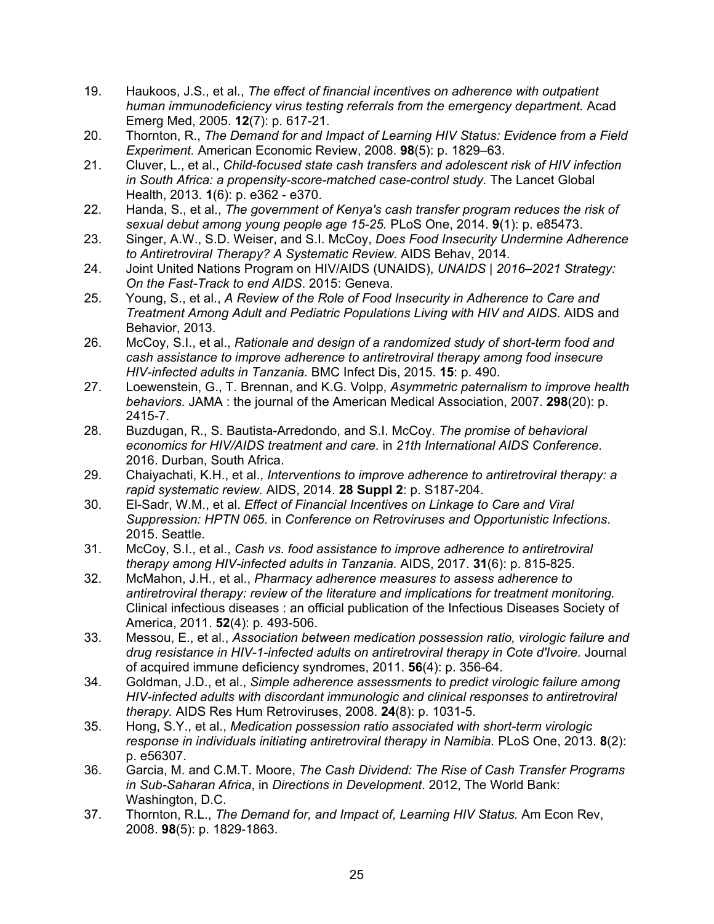- 19. Haukoos, J.S., et al., *The effect of financial incentives on adherence with outpatient human immunodeficiency virus testing referrals from the emergency department.* Acad Emerg Med, 2005. **12**(7): p. 617-21.
- 20. Thornton, R., *The Demand for and Impact of Learning HIV Status: Evidence from a Field Experiment.* American Economic Review, 2008. **98**(5): p. 1829–63.
- 21. Cluver, L., et al., *Child-focused state cash transfers and adolescent risk of HIV infection in South Africa: a propensity-score-matched case-control study.* The Lancet Global Health, 2013. **1**(6): p. e362 - e370.
- 22. Handa, S., et al., *The government of Kenya's cash transfer program reduces the risk of sexual debut among young people age 15-25.* PLoS One, 2014. **9**(1): p. e85473.
- 23. Singer, A.W., S.D. Weiser, and S.I. McCoy, *Does Food Insecurity Undermine Adherence to Antiretroviral Therapy? A Systematic Review.* AIDS Behav, 2014.
- 24. Joint United Nations Program on HIV/AIDS (UNAIDS), *UNAIDS | 2016–2021 Strategy: On the Fast-Track to end AIDS*. 2015: Geneva.
- 25. Young, S., et al., *A Review of the Role of Food Insecurity in Adherence to Care and Treatment Among Adult and Pediatric Populations Living with HIV and AIDS.* AIDS and Behavior, 2013.
- 26. McCoy, S.I., et al., *Rationale and design of a randomized study of short-term food and cash assistance to improve adherence to antiretroviral therapy among food insecure HIV-infected adults in Tanzania.* BMC Infect Dis, 2015. **15**: p. 490.
- 27. Loewenstein, G., T. Brennan, and K.G. Volpp, *Asymmetric paternalism to improve health behaviors.* JAMA : the journal of the American Medical Association, 2007. **298**(20): p. 2415-7.
- 28. Buzdugan, R., S. Bautista-Arredondo, and S.I. McCoy. *The promise of behavioral economics for HIV/AIDS treatment and care*. in *21th International AIDS Conference*. 2016. Durban, South Africa.
- 29. Chaiyachati, K.H., et al., *Interventions to improve adherence to antiretroviral therapy: a rapid systematic review.* AIDS, 2014. **28 Suppl 2**: p. S187-204.
- 30. El-Sadr, W.M., et al. *Effect of Financial Incentives on Linkage to Care and Viral Suppression: HPTN 065*. in *Conference on Retroviruses and Opportunistic Infections*. 2015. Seattle.
- 31. McCoy, S.I., et al., *Cash vs. food assistance to improve adherence to antiretroviral therapy among HIV-infected adults in Tanzania.* AIDS, 2017. **31**(6): p. 815-825.
- 32. McMahon, J.H., et al., *Pharmacy adherence measures to assess adherence to antiretroviral therapy: review of the literature and implications for treatment monitoring.* Clinical infectious diseases : an official publication of the Infectious Diseases Society of America, 2011. **52**(4): p. 493-506.
- 33. Messou, E., et al., *Association between medication possession ratio, virologic failure and drug resistance in HIV-1-infected adults on antiretroviral therapy in Cote d'Ivoire.* Journal of acquired immune deficiency syndromes, 2011. **56**(4): p. 356-64.
- 34. Goldman, J.D., et al., *Simple adherence assessments to predict virologic failure among HIV-infected adults with discordant immunologic and clinical responses to antiretroviral therapy.* AIDS Res Hum Retroviruses, 2008. **24**(8): p. 1031-5.
- 35. Hong, S.Y., et al., *Medication possession ratio associated with short-term virologic response in individuals initiating antiretroviral therapy in Namibia.* PLoS One, 2013. **8**(2): p. e56307.
- 36. Garcia, M. and C.M.T. Moore, *The Cash Dividend: The Rise of Cash Transfer Programs in Sub-Saharan Africa*, in *Directions in Development*. 2012, The World Bank: Washington, D.C.
- 37. Thornton, R.L., *The Demand for, and Impact of, Learning HIV Status.* Am Econ Rev, 2008. **98**(5): p. 1829-1863.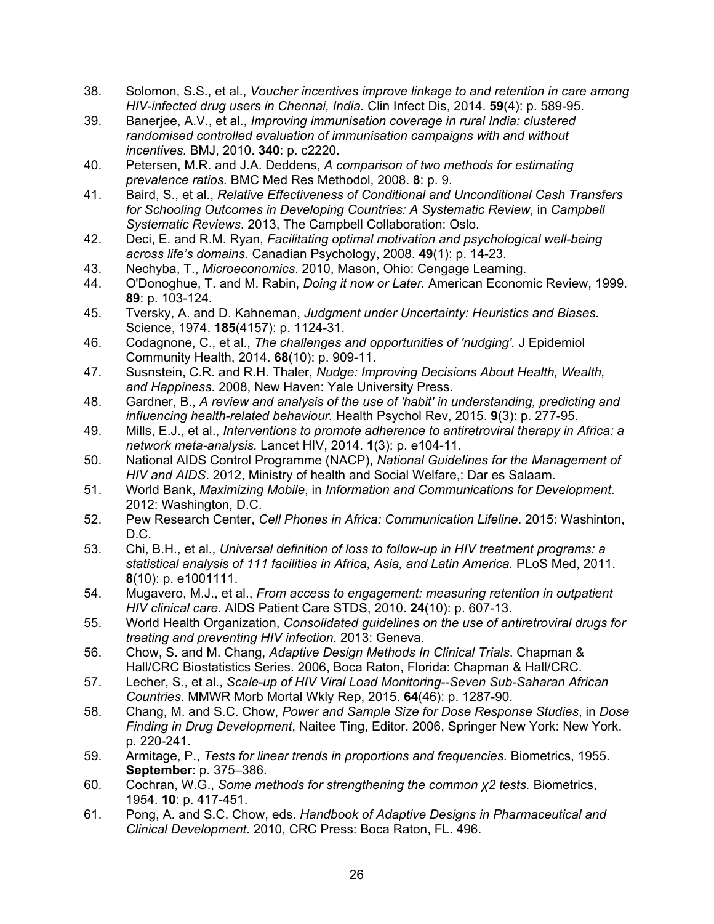- 38. Solomon, S.S., et al., *Voucher incentives improve linkage to and retention in care among HIV-infected drug users in Chennai, India.* Clin Infect Dis, 2014. **59**(4): p. 589-95.
- 39. Banerjee, A.V., et al., *Improving immunisation coverage in rural India: clustered randomised controlled evaluation of immunisation campaigns with and without incentives.* BMJ, 2010. **340**: p. c2220.
- 40. Petersen, M.R. and J.A. Deddens, *A comparison of two methods for estimating prevalence ratios.* BMC Med Res Methodol, 2008. **8**: p. 9.
- 41. Baird, S., et al., *Relative Effectiveness of Conditional and Unconditional Cash Transfers for Schooling Outcomes in Developing Countries: A Systematic Review*, in *Campbell Systematic Reviews*. 2013, The Campbell Collaboration: Oslo.
- 42. Deci, E. and R.M. Ryan, *Facilitating optimal motivation and psychological well-being across life's domains.* Canadian Psychology, 2008. **49**(1): p. 14-23.
- 43. Nechyba, T., *Microeconomics*. 2010, Mason, Ohio: Cengage Learning.
- 44. O'Donoghue, T. and M. Rabin, *Doing it now or Later.* American Economic Review, 1999. **89**: p. 103-124.
- 45. Tversky, A. and D. Kahneman, *Judgment under Uncertainty: Heuristics and Biases.* Science, 1974. **185**(4157): p. 1124-31.
- 46. Codagnone, C., et al., *The challenges and opportunities of 'nudging'.* J Epidemiol Community Health, 2014. **68**(10): p. 909-11.
- 47. Susnstein, C.R. and R.H. Thaler, *Nudge: Improving Decisions About Health, Wealth, and Happiness*. 2008, New Haven: Yale University Press.
- 48. Gardner, B., *A review and analysis of the use of 'habit' in understanding, predicting and influencing health-related behaviour.* Health Psychol Rev, 2015. **9**(3): p. 277-95.
- 49. Mills, E.J., et al., *Interventions to promote adherence to antiretroviral therapy in Africa: a network meta-analysis.* Lancet HIV, 2014. **1**(3): p. e104-11.
- 50. National AIDS Control Programme (NACP), *National Guidelines for the Management of HIV and AIDS*. 2012, Ministry of health and Social Welfare,: Dar es Salaam.
- 51. World Bank, *Maximizing Mobile*, in *Information and Communications for Development*. 2012: Washington, D.C.
- 52. Pew Research Center, *Cell Phones in Africa: Communication Lifeline*. 2015: Washinton, D.C.
- 53. Chi, B.H., et al., *Universal definition of loss to follow-up in HIV treatment programs: a statistical analysis of 111 facilities in Africa, Asia, and Latin America.* PLoS Med, 2011. **8**(10): p. e1001111.
- 54. Mugavero, M.J., et al., *From access to engagement: measuring retention in outpatient HIV clinical care.* AIDS Patient Care STDS, 2010. **24**(10): p. 607-13.
- 55. World Health Organization, *Consolidated guidelines on the use of antiretroviral drugs for treating and preventing HIV infection*. 2013: Geneva.
- 56. Chow, S. and M. Chang, *Adaptive Design Methods In Clinical Trials*. Chapman & Hall/CRC Biostatistics Series. 2006, Boca Raton, Florida: Chapman & Hall/CRC.
- 57. Lecher, S., et al., *Scale-up of HIV Viral Load Monitoring--Seven Sub-Saharan African Countries.* MMWR Morb Mortal Wkly Rep, 2015. **64**(46): p. 1287-90.
- 58. Chang, M. and S.C. Chow, *Power and Sample Size for Dose Response Studies*, in *Dose Finding in Drug Development*, Naitee Ting, Editor. 2006, Springer New York: New York. p. 220-241.
- 59. Armitage, P., *Tests for linear trends in proportions and frequencies.* Biometrics, 1955. **September**: p. 375–386.
- 60. Cochran, W.G., *Some methods for strengthening the common χ2 tests.* Biometrics, 1954. **10**: p. 417-451.
- 61. Pong, A. and S.C. Chow, eds. *Handbook of Adaptive Designs in Pharmaceutical and Clinical Development*. 2010, CRC Press: Boca Raton, FL. 496.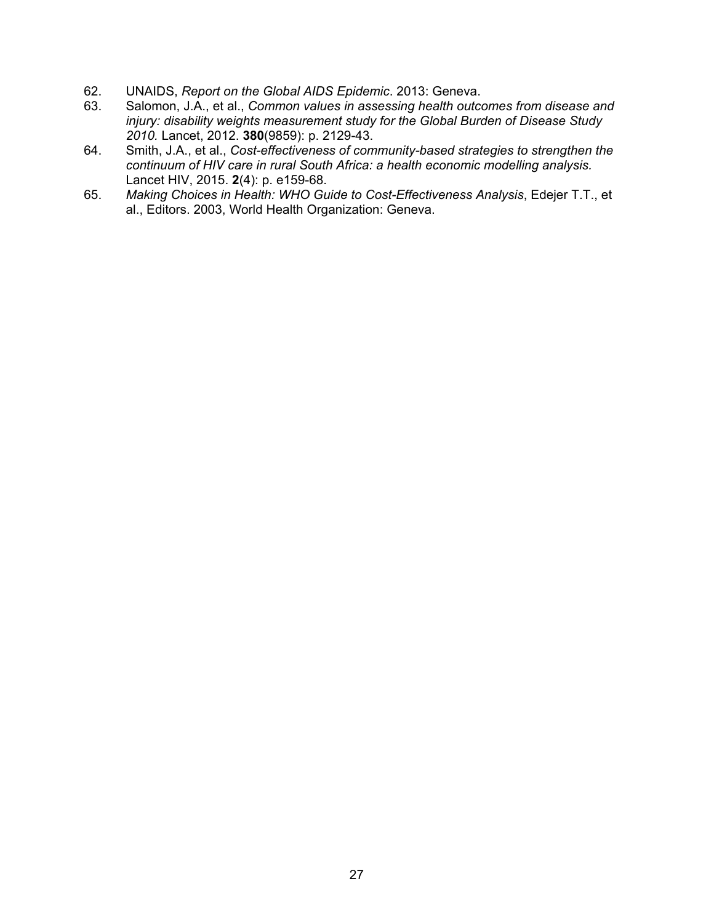- 62. UNAIDS, *Report on the Global AIDS Epidemic*. 2013: Geneva.
- 63. Salomon, J.A., et al., *Common values in assessing health outcomes from disease and injury: disability weights measurement study for the Global Burden of Disease Study 2010.* Lancet, 2012. **380**(9859): p. 2129-43.
- 64. Smith, J.A., et al., *Cost-effectiveness of community-based strategies to strengthen the continuum of HIV care in rural South Africa: a health economic modelling analysis.* Lancet HIV, 2015. **2**(4): p. e159-68.
- 65. *Making Choices in Health: WHO Guide to Cost-Effectiveness Analysis*, Edejer T.T., et al., Editors. 2003, World Health Organization: Geneva.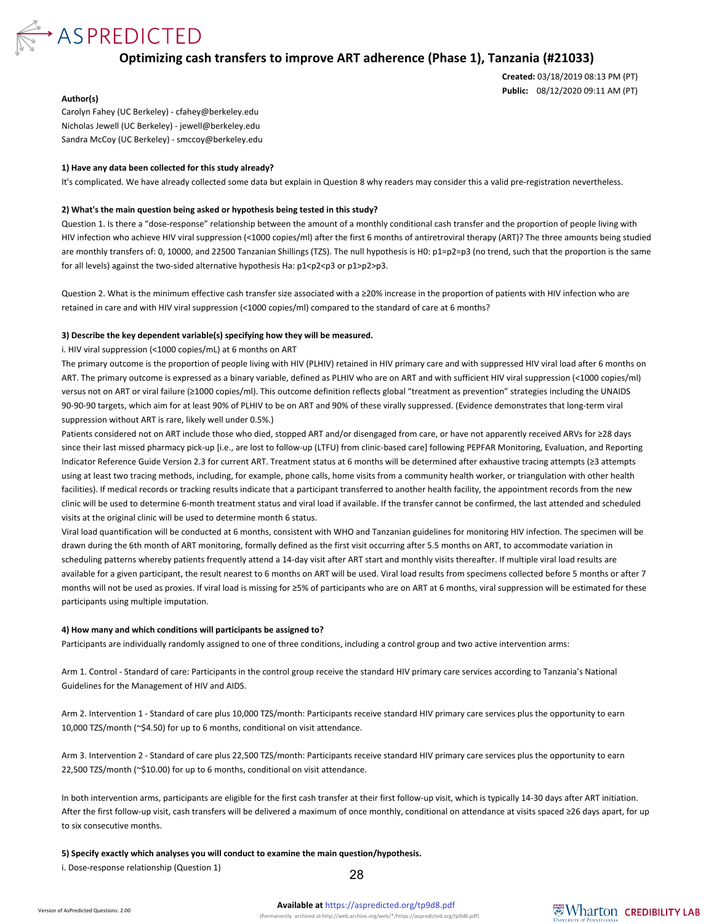

**Optimizing cash transfers to improve ART adherence (Phase 1), Tanzania (#21033)**

**Created:** 03/18/2019 08:13 PM (PT) **Public:** 08/12/2020 09:11 AM (PT)

#### **Author(s)**

Carolyn Fahey (UC Berkeley) - cfahey@berkeley.edu Nicholas Jewell (UC Berkeley) - jewell@berkeley.edu Sandra McCoy (UC Berkeley) - smccoy@berkeley.edu

#### **1) Have any data been collected for this study already?**

It's complicated. We have already collected some data but explain in Question 8 why readers may consider this a valid pre-registration nevertheless.

#### **2) What's the main question being asked or hypothesis being tested in this study?**

Question 1. Is there a "dose-response" relationship between the amount of a monthly conditional cash transfer and the proportion of people living with HIV infection who achieve HIV viral suppression (<1000 copies/ml) after the first 6 months of antiretroviral therapy (ART)? The three amounts being studied are monthly transfers of: 0, 10000, and 22500 Tanzanian Shillings (TZS). The null hypothesis is H0: p1=p2=p3 (no trend, such that the proportion is the same for all levels) against the two-sided alternative hypothesis Ha:  $p1 < p2 < p3$  or  $p1 > p2 > p3$ .

Question 2. What is the minimum effective cash transfer size associated with a ≥20% increase in the proportion of patients with HIV infection who are retained in care and with HIV viral suppression (<1000 copies/ml) compared to the standard of care at 6 months?

#### **3) Describe the key dependent variable(s) specifying how they will be measured.**

i. HIV viral suppression (<1000 copies/mL) at 6 months on ART

The primary outcome is the proportion of people living with HIV (PLHIV) retained in HIV primary care and with suppressed HIV viral load after 6 months on ART. The primary outcome is expressed as a binary variable, defined as PLHIV who are on ART and with sufficient HIV viral suppression (<1000 copies/ml) versus not on ART or viral failure (≥1000 copies/ml). This outcome definition reflects global "treatment as prevention" strategies including the UNAIDS 90-90-90 targets, which aim for at least 90% of PLHIV to be on ART and 90% of these virally suppressed. (Evidence demonstrates that long-term viral suppression without ART is rare, likely well under 0.5%.)

Patients considered not on ART include those who died, stopped ART and/or disengaged from care, or have not apparently received ARVs for ≥28 days since their last missed pharmacy pick-up [i.e., are lost to follow-up (LTFU) from clinic-based care] following PEPFAR Monitoring, Evaluation, and Reporting Indicator Reference Guide Version 2.3 for current ART. Treatment status at 6 months will be determined after exhaustive tracing attempts (≥3 attempts using at least two tracing methods, including, for example, phone calls, home visits from a community health worker, or triangulation with other health facilities). If medical records or tracking results indicate that a participant transferred to another health facility, the appointment records from the new clinic will be used to determine 6-month treatment status and viral load if available. If the transfer cannot be confirmed, the last attended and scheduled visits at the original clinic will be used to determine month 6 status.

Viral load quantification will be conducted at 6 months, consistent with WHO and Tanzanian guidelines for monitoring HIV infection. The specimen will be drawn during the 6th month of ART monitoring, formally defined as the first visit occurring after 5.5 months on ART, to accommodate variation in scheduling patterns whereby patients frequently attend a 14-day visit after ART start and monthly visits thereafter. If multiple viral load results are available for a given participant, the result nearest to 6 months on ART will be used. Viral load results from specimens collected before 5 months or after 7 months will not be used as proxies. If viral load is missing for ≥5% of participants who are on ART at 6 months, viral suppression will be estimated for these participants using multiple imputation.

#### **4) How many and which conditions will participants be assigned to?**

Participants are individually randomly assigned to one of three conditions, including a control group and two active intervention arms:

Arm 1. Control - Standard of care: Participants in the control group receive the standard HIV primary care services according to Tanzania's National Guidelines for the Management of HIV and AIDS.

Arm 2. Intervention 1 - Standard of care plus 10,000 TZS/month: Participants receive standard HIV primary care services plus the opportunity to earn 10,000 TZS/month (~\$4.50) for up to 6 months, conditional on visit attendance.

Arm 3. Intervention 2 - Standard of care plus 22,500 TZS/month: Participants receive standard HIV primary care services plus the opportunity to earn 22,500 TZS/month (~\$10.00) for up to 6 months, conditional on visit attendance.

In both intervention arms, participants are eligible for the first cash transfer at their first follow-up visit, which is typically 14-30 days after ART initiation. After the first follow-up visit, cash transfers will be delivered a maximum of once monthly, conditional on attendance at visits spaced ≥26 days apart, for up to six consecutive months.

**5) Specify exactly which analyses you will conduct to examine the main question/hypothesis.**

i. Dose-response relationship (Question 1)